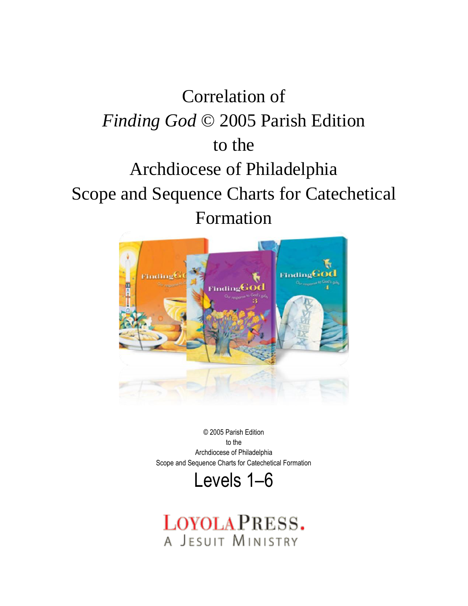# Correlation of *Finding God* © 2005 Parish Edition to the Archdiocese of Philadelphia Scope and Sequence Charts for Catechetical Formation



© 2005 Parish Edition to the Archdiocese of Philadelphia Scope and Sequence Charts for Catechetical Formation



LOYOLAPRESS. A JESUIT MINISTRY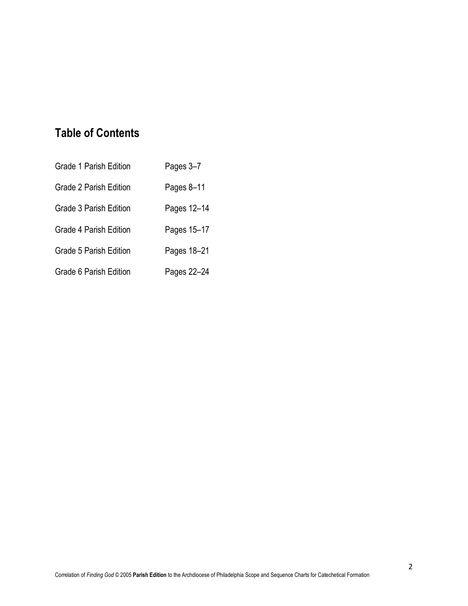# **Table of Contents**

| <b>Grade 1 Parish Edition</b> | Pages 3-7   |
|-------------------------------|-------------|
| <b>Grade 2 Parish Edition</b> | Pages 8-11  |
| <b>Grade 3 Parish Edition</b> | Pages 12-14 |
| <b>Grade 4 Parish Edition</b> | Pages 15-17 |
| <b>Grade 5 Parish Edition</b> | Pages 18-21 |
| Grade 6 Parish Edition        | Pages 22-24 |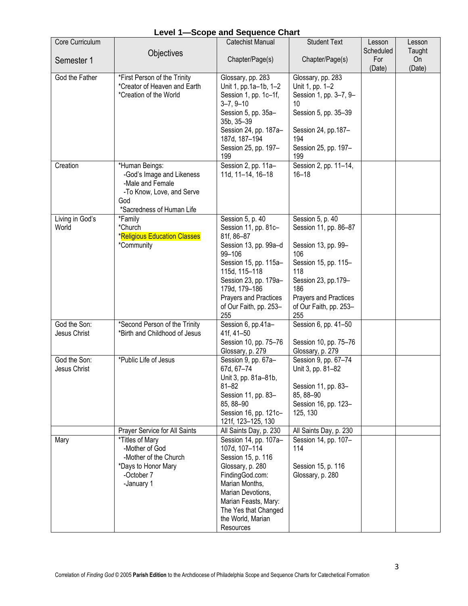|  |  | <b>Level 1-Scope and Sequence Chart</b> |
|--|--|-----------------------------------------|
|--|--|-----------------------------------------|

| Core Curriculum              |                                                                                                                                                | <b>Catechist Manual</b>                                                                                                                                                                                                                                | <b>Student Text</b>                                                                                                                                                                            | Lesson                     | Lesson                 |
|------------------------------|------------------------------------------------------------------------------------------------------------------------------------------------|--------------------------------------------------------------------------------------------------------------------------------------------------------------------------------------------------------------------------------------------------------|------------------------------------------------------------------------------------------------------------------------------------------------------------------------------------------------|----------------------------|------------------------|
| Semester 1                   | Objectives                                                                                                                                     | Chapter/Page(s)                                                                                                                                                                                                                                        | Chapter/Page(s)                                                                                                                                                                                | Scheduled<br>For<br>(Date) | Taught<br>On<br>(Date) |
| God the Father               | *First Person of the Trinity<br>*Creator of Heaven and Earth<br>*Creation of the World                                                         | Glossary, pp. 283<br>Unit 1, pp.1a-1b, 1-2<br>Session 1, pp. 1c-1f,<br>$3 - 7, 9 - 10$<br>Session 5, pp. 35a-<br>35b, 35-39<br>Session 24, pp. 187a-<br>187d, 187-194<br>Session 25, pp. 197-<br>199                                                   | Glossary, pp. 283<br>Unit 1, pp. 1-2<br>Session 1, pp. 3-7, 9-<br>10<br>Session 5, pp. 35-39<br>Session 24, pp. 187-<br>194<br>Session 25, pp. 197-<br>199                                     |                            |                        |
| Creation                     | *Human Beings:<br>-God's Image and Likeness<br>-Male and Female<br>-To Know, Love, and Serve<br>God<br>*Sacredness of Human Life               | Session 2, pp. 11a-<br>11d, 11-14, 16-18                                                                                                                                                                                                               | Session 2, pp. 11-14,<br>$16 - 18$                                                                                                                                                             |                            |                        |
| Living in God's<br>World     | *Family<br>*Church<br><b>*Religious Education Classes</b><br>*Community                                                                        | Session 5, p. 40<br>Session 11, pp. 81c-<br>81f, 86-87<br>Session 13, pp. 99a-d<br>99-106<br>Session 15, pp. 115a-<br>115d, 115-118<br>Session 23, pp. 179a-<br>179d, 179-186<br>Prayers and Practices<br>of Our Faith, pp. 253-<br>255                | Session 5, p. 40<br>Session 11, pp. 86-87<br>Session 13, pp. 99-<br>106<br>Session 15, pp. 115-<br>118<br>Session 23, pp.179-<br>186<br>Prayers and Practices<br>of Our Faith, pp. 253-<br>255 |                            |                        |
| God the Son:<br>Jesus Christ | *Second Person of the Trinity<br>*Birth and Childhood of Jesus                                                                                 | Session 6, pp.41a-<br>41f, 41-50<br>Session 10, pp. 75-76<br>Glossary, p. 279                                                                                                                                                                          | Session 6, pp. 41-50<br>Session 10, pp. 75-76<br>Glossary, p. 279                                                                                                                              |                            |                        |
| God the Son:<br>Jesus Christ | *Public Life of Jesus                                                                                                                          | Session 9, pp. 67a-<br>67d, 67-74<br>Unit 3, pp. 81a-81b,<br>$81 - 82$<br>Session 11, pp. 83-<br>85, 88-90<br>Session 16, pp. 121c-<br>121f, 123-125, 130                                                                                              | Session 9, pp. 67-74<br>Unit 3, pp. 81-82<br>Session 11, pp. 83-<br>85, 88-90<br>Session 16, pp. 123-<br>125, 130                                                                              |                            |                        |
| Mary                         | Prayer Service for All Saints<br>*Titles of Mary<br>-Mother of God<br>-Mother of the Church<br>*Days to Honor Mary<br>-October 7<br>-January 1 | All Saints Day, p. 230<br>Session 14, pp. 107a-<br>107d, 107-114<br>Session 15, p. 116<br>Glossary, p. 280<br>FindingGod.com:<br>Marian Months,<br>Marian Devotions,<br>Marian Feasts, Mary:<br>The Yes that Changed<br>the World, Marian<br>Resources | All Saints Day, p. 230<br>Session 14, pp. 107-<br>114<br>Session 15, p. 116<br>Glossary, p. 280                                                                                                |                            |                        |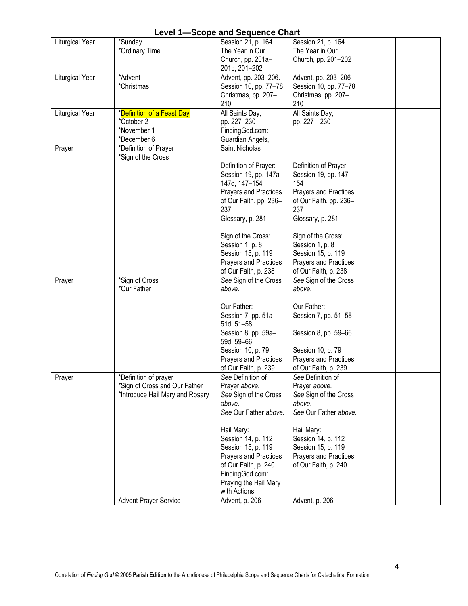| <b>Level 1-Scope and Sequence Chart</b> |                                 |                                   |                                  |  |  |  |  |
|-----------------------------------------|---------------------------------|-----------------------------------|----------------------------------|--|--|--|--|
| <b>Liturgical Year</b>                  | *Sunday                         | Session 21, p. 164                | Session 21, p. 164               |  |  |  |  |
|                                         | *Ordinary Time                  | The Year in Our                   | The Year in Our                  |  |  |  |  |
|                                         |                                 | Church, pp. 201a-                 | Church, pp. 201-202              |  |  |  |  |
|                                         |                                 | 201b, 201-202                     |                                  |  |  |  |  |
| Liturgical Year                         | *Advent                         | Advent, pp. 203-206.              | Advent, pp. 203-206              |  |  |  |  |
|                                         | *Christmas                      | Session 10, pp. 77-78             | Session 10, pp. 77-78            |  |  |  |  |
|                                         |                                 | Christmas, pp. 207-               | Christmas, pp. 207-              |  |  |  |  |
|                                         |                                 | 210                               | 210                              |  |  |  |  |
| Liturgical Year                         | *Definition of a Feast Day      | All Saints Day,                   | All Saints Day,                  |  |  |  |  |
|                                         | *October 2                      | pp. 227-230                       | pp. 227-230                      |  |  |  |  |
|                                         | *November 1                     | FindingGod.com:                   |                                  |  |  |  |  |
|                                         | *December 6                     | Guardian Angels,                  |                                  |  |  |  |  |
| Prayer                                  | *Definition of Prayer           | Saint Nicholas                    |                                  |  |  |  |  |
|                                         | *Sign of the Cross              | Definition of Prayer:             | Definition of Prayer:            |  |  |  |  |
|                                         |                                 | Session 19, pp. 147a-             | Session 19, pp. 147-             |  |  |  |  |
|                                         |                                 | 147d, 147-154                     | 154                              |  |  |  |  |
|                                         |                                 | Prayers and Practices             | Prayers and Practices            |  |  |  |  |
|                                         |                                 | of Our Faith, pp. 236-            | of Our Faith, pp. 236-           |  |  |  |  |
|                                         |                                 | 237                               | 237                              |  |  |  |  |
|                                         |                                 | Glossary, p. 281                  | Glossary, p. 281                 |  |  |  |  |
|                                         |                                 |                                   |                                  |  |  |  |  |
|                                         |                                 | Sign of the Cross:                | Sign of the Cross:               |  |  |  |  |
|                                         |                                 | Session 1, p. 8                   | Session 1, p. 8                  |  |  |  |  |
|                                         |                                 | Session 15, p. 119                | Session 15, p. 119               |  |  |  |  |
|                                         |                                 | Prayers and Practices             | <b>Prayers and Practices</b>     |  |  |  |  |
|                                         |                                 | of Our Faith, p. 238              | of Our Faith, p. 238             |  |  |  |  |
| Prayer                                  | *Sign of Cross                  | See Sign of the Cross             | See Sign of the Cross            |  |  |  |  |
|                                         | *Our Father                     | above.                            | above.                           |  |  |  |  |
|                                         |                                 |                                   |                                  |  |  |  |  |
|                                         |                                 | Our Father:                       | Our Father:                      |  |  |  |  |
|                                         |                                 | Session 7, pp. 51a-<br>51d, 51-58 | Session 7, pp. 51-58             |  |  |  |  |
|                                         |                                 | Session 8, pp. 59a-               | Session 8, pp. 59-66             |  |  |  |  |
|                                         |                                 | 59d, 59-66                        |                                  |  |  |  |  |
|                                         |                                 | Session 10, p. 79                 | Session 10, p. 79                |  |  |  |  |
|                                         |                                 | <b>Prayers and Practices</b>      | <b>Prayers and Practices</b>     |  |  |  |  |
|                                         |                                 | of Our Faith, p. 239              | of Our Faith, p. 239             |  |  |  |  |
| Prayer                                  | *Definition of prayer           | See Definition of                 | See Definition of                |  |  |  |  |
|                                         | *Sign of Cross and Our Father   | Prayer above.                     | Prayer above.                    |  |  |  |  |
|                                         | *Introduce Hail Mary and Rosary | See Sign of the Cross             | See Sign of the Cross            |  |  |  |  |
|                                         |                                 | above.                            | above.                           |  |  |  |  |
|                                         |                                 | See Our Father above.             | See Our Father above.            |  |  |  |  |
|                                         |                                 |                                   |                                  |  |  |  |  |
|                                         |                                 | Hail Mary:<br>Session 14, p. 112  | Hail Mary:<br>Session 14, p. 112 |  |  |  |  |
|                                         |                                 | Session 15, p. 119                | Session 15, p. 119               |  |  |  |  |
|                                         |                                 | Prayers and Practices             | Prayers and Practices            |  |  |  |  |
|                                         |                                 | of Our Faith, p. 240              | of Our Faith, p. 240             |  |  |  |  |
|                                         |                                 | FindingGod.com:                   |                                  |  |  |  |  |
|                                         |                                 | Praying the Hail Mary             |                                  |  |  |  |  |
|                                         |                                 | with Actions                      |                                  |  |  |  |  |
|                                         | <b>Advent Prayer Service</b>    | Advent, p. 206                    | Advent, p. 206                   |  |  |  |  |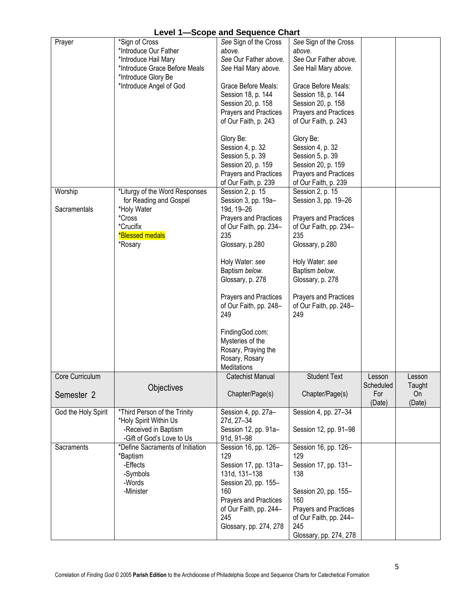|  |  | <b>Level 1-Scope and Sequence Chart</b> |
|--|--|-----------------------------------------|
|--|--|-----------------------------------------|

|                     |                                  | ooopo ana ooqachoo onan |                              |           |        |
|---------------------|----------------------------------|-------------------------|------------------------------|-----------|--------|
| Prayer              | *Sign of Cross                   | See Sign of the Cross   | See Sign of the Cross        |           |        |
|                     | *Introduce Our Father            | above.                  | above.                       |           |        |
|                     | *Introduce Hail Mary             | See Our Father above.   | See Our Father above.        |           |        |
|                     | *Introduce Grace Before Meals    | See Hail Mary above.    | See Hail Mary above.         |           |        |
|                     | *Introduce Glory Be              |                         |                              |           |        |
|                     |                                  |                         |                              |           |        |
|                     | *Introduce Angel of God          | Grace Before Meals:     | Grace Before Meals:          |           |        |
|                     |                                  | Session 18, p. 144      | Session 18, p. 144           |           |        |
|                     |                                  | Session 20, p. 158      | Session 20, p. 158           |           |        |
|                     |                                  | Prayers and Practices   | Prayers and Practices        |           |        |
|                     |                                  | of Our Faith, p. 243    | of Our Faith, p. 243         |           |        |
|                     |                                  |                         |                              |           |        |
|                     |                                  | Glory Be:               | Glory Be:                    |           |        |
|                     |                                  | Session 4, p. 32        | Session 4, p. 32             |           |        |
|                     |                                  | Session 5, p. 39        | Session 5, p. 39             |           |        |
|                     |                                  | Session 20, p. 159      | Session 20, p. 159           |           |        |
|                     |                                  | Prayers and Practices   | Prayers and Practices        |           |        |
|                     |                                  | of Our Faith, p. 239    | of Our Faith, p. 239         |           |        |
| Worship             | *Liturgy of the Word Responses   | Session 2, p. 15        | Session 2, p. 15             |           |        |
|                     | for Reading and Gospel           | Session 3, pp. 19a-     | Session 3, pp. 19-26         |           |        |
| Sacramentals        | *Holy Water                      | 19d, 19-26              |                              |           |        |
|                     | *Cross                           | Prayers and Practices   | Prayers and Practices        |           |        |
|                     | *Crucifix                        | of Our Faith, pp. 234-  |                              |           |        |
|                     |                                  |                         | of Our Faith, pp. 234-       |           |        |
|                     | <b>*Blessed medals</b>           | 235                     | 235                          |           |        |
|                     | *Rosary                          | Glossary, p.280         | Glossary, p.280              |           |        |
|                     |                                  | Holy Water: see         | Holy Water: see              |           |        |
|                     |                                  | Baptism below.          | Baptism below.               |           |        |
|                     |                                  | Glossary, p. 278        | Glossary, p. 278             |           |        |
|                     |                                  |                         |                              |           |        |
|                     |                                  |                         |                              |           |        |
|                     |                                  | Prayers and Practices   | Prayers and Practices        |           |        |
|                     |                                  | of Our Faith, pp. 248-  | of Our Faith, pp. 248-       |           |        |
|                     |                                  | 249                     | 249                          |           |        |
|                     |                                  | FindingGod.com:         |                              |           |        |
|                     |                                  |                         |                              |           |        |
|                     |                                  | Mysteries of the        |                              |           |        |
|                     |                                  | Rosary, Praying the     |                              |           |        |
|                     |                                  | Rosary, Rosary          |                              |           |        |
|                     |                                  | Meditations             |                              |           |        |
| Core Curriculum     |                                  | <b>Catechist Manual</b> | <b>Student Text</b>          | esson     | Lesson |
|                     | Objectives                       |                         |                              | Scheduled | Taught |
| Semester 2          |                                  | Chapter/Page(s)         | Chapter/Page(s)              | For       | On     |
|                     |                                  |                         |                              | (Date)    | (Date) |
| God the Holy Spirit | *Third Person of the Trinity     | Session 4, pp. 27a-     | Session 4, pp. 27-34         |           |        |
|                     | *Holy Spirit Within Us           | 27d, 27-34              |                              |           |        |
|                     |                                  |                         |                              |           |        |
|                     | -Received in Baptism             | Session 12, pp. 91a-    | Session 12, pp. 91-98        |           |        |
|                     | -Gift of God's Love to Us        | 91d, 91-98              |                              |           |        |
| Sacraments          | *Define Sacraments of Initiation | Session 16, pp. 126-    | Session 16, pp. 126-         |           |        |
|                     | *Baptism                         | 129                     | 129                          |           |        |
|                     | -Effects                         | Session 17, pp. 131a-   | Session 17, pp. 131-         |           |        |
|                     | -Symbols                         | 131d, 131-138           | 138                          |           |        |
|                     | -Words                           | Session 20, pp. 155-    |                              |           |        |
|                     | -Minister                        | 160                     | Session 20, pp. 155-         |           |        |
|                     |                                  | Prayers and Practices   | 160                          |           |        |
|                     |                                  | of Our Faith, pp. 244-  | <b>Prayers and Practices</b> |           |        |
|                     |                                  | 245                     |                              |           |        |
|                     |                                  |                         | of Our Faith, pp. 244-       |           |        |
|                     |                                  | Glossary, pp. 274, 278  | 245                          |           |        |
|                     |                                  |                         | Glossary, pp. 274, 278       |           |        |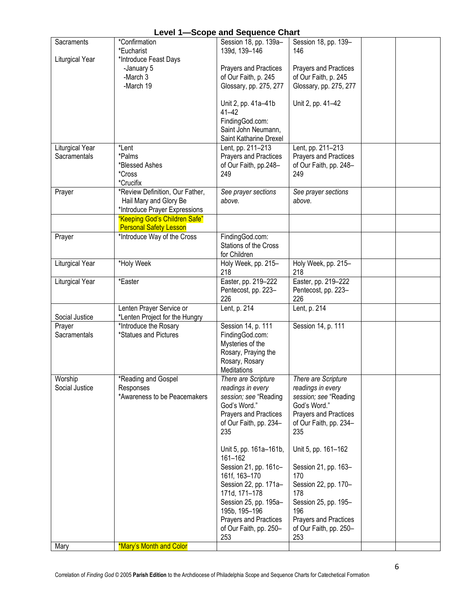| Sacraments             | *Confirmation                   | $\sim$ and $\sim$ and $\sim$<br>Session 18, pp. 139a- | Session 18, pp. 139-         |  |
|------------------------|---------------------------------|-------------------------------------------------------|------------------------------|--|
|                        | *Eucharist                      | 139d, 139-146                                         | 146                          |  |
| Liturgical Year        | *Introduce Feast Days           |                                                       |                              |  |
|                        | -January 5                      | Prayers and Practices                                 | <b>Prayers and Practices</b> |  |
|                        | -March 3                        | of Our Faith, p. 245                                  | of Our Faith, p. 245         |  |
|                        | -March 19                       | Glossary, pp. 275, 277                                | Glossary, pp. 275, 277       |  |
|                        |                                 |                                                       |                              |  |
|                        |                                 | Unit 2, pp. 41a-41b                                   | Unit 2, pp. 41-42            |  |
|                        |                                 | $41 - 42$                                             |                              |  |
|                        |                                 | FindingGod.com:                                       |                              |  |
|                        |                                 | Saint John Neumann,                                   |                              |  |
|                        |                                 | Saint Katharine Drexel                                |                              |  |
| Liturgical Year        | *Lent                           | Lent, pp. 211-213                                     | Lent, pp. 211-213            |  |
| Sacramentals           | *Palms                          | Prayers and Practices                                 | Prayers and Practices        |  |
|                        | *Blessed Ashes                  | of Our Faith, pp.248-                                 | of Our Faith, pp. 248-       |  |
|                        | *Cross                          | 249                                                   | 249                          |  |
|                        | *Crucifix                       |                                                       |                              |  |
| Prayer                 | *Review Definition, Our Father, | See prayer sections                                   | See prayer sections          |  |
|                        | Hail Mary and Glory Be          | above.                                                | above.                       |  |
|                        | *Introduce Prayer Expressions   |                                                       |                              |  |
|                        | "Keeping God's Children Safe"   |                                                       |                              |  |
|                        | <b>Personal Safety Lesson</b>   |                                                       |                              |  |
| Prayer                 | *Introduce Way of the Cross     | FindingGod.com:                                       |                              |  |
|                        |                                 | Stations of the Cross                                 |                              |  |
|                        |                                 | for Children                                          |                              |  |
| <b>Liturgical Year</b> | *Holy Week                      | Holy Week, pp. 215-                                   | Holy Week, pp. 215-          |  |
|                        |                                 | 218                                                   | 218                          |  |
| Liturgical Year        | *Easter                         | Easter, pp. 219-222                                   | Easter, pp. 219-222          |  |
|                        |                                 | Pentecost, pp. 223-                                   | Pentecost, pp. 223-          |  |
|                        |                                 | 226                                                   | 226                          |  |
|                        | Lenten Prayer Service or        | Lent, p. 214                                          | Lent, p. 214                 |  |
| Social Justice         | *Lenten Project for the Hungry  |                                                       |                              |  |
| Prayer                 | *Introduce the Rosary           | Session 14, p. 111                                    | Session 14, p. 111           |  |
| Sacramentals           | *Statues and Pictures           | FindingGod.com:                                       |                              |  |
|                        |                                 | Mysteries of the                                      |                              |  |
|                        |                                 | Rosary, Praying the                                   |                              |  |
|                        |                                 | Rosary, Rosary                                        |                              |  |
|                        |                                 | Meditations                                           |                              |  |
| Worship                | *Reading and Gospel             | There are Scripture                                   | There are Scripture          |  |
| Social Justice         | Responses                       | readings in every                                     | readings in every            |  |
|                        | *Awareness to be Peacemakers    | session; see "Reading                                 | session; see "Reading        |  |
|                        |                                 | God's Word."                                          | God's Word."                 |  |
|                        |                                 | Prayers and Practices                                 | Prayers and Practices        |  |
|                        |                                 | of Our Faith, pp. 234-                                | of Our Faith, pp. 234-       |  |
|                        |                                 | 235                                                   | 235                          |  |
|                        |                                 | Unit 5, pp. 161a-161b,                                | Unit 5, pp. 161-162          |  |
|                        |                                 | 161-162                                               |                              |  |
|                        |                                 | Session 21, pp. 161c-                                 | Session 21, pp. 163-         |  |
|                        |                                 | 161f, 163-170                                         | 170                          |  |
|                        |                                 | Session 22, pp. 171a-                                 | Session 22, pp. 170-         |  |
|                        |                                 | 171d, 171-178                                         | 178                          |  |
|                        |                                 | Session 25, pp. 195a-                                 | Session 25, pp. 195-         |  |
|                        |                                 | 195b, 195-196                                         | 196                          |  |
|                        |                                 | Prayers and Practices                                 | Prayers and Practices        |  |
|                        |                                 | of Our Faith, pp. 250-                                | of Our Faith, pp. 250-       |  |
|                        |                                 | 253                                                   | 253                          |  |
| Mary                   | *Mary's Month and Color         |                                                       |                              |  |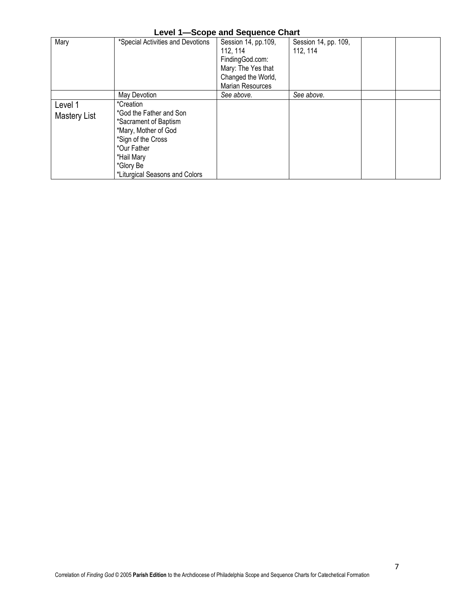| <b>Level 1-Scope and Sequence Chart</b> |  |  |
|-----------------------------------------|--|--|
|-----------------------------------------|--|--|

| Mary                    | *Special Activities and Devotions                                                                                                                                                       | Session 14, pp.109,<br>112, 114<br>FindingGod.com:<br>Mary: The Yes that<br>Changed the World,<br>Marian Resources | Session 14, pp. 109,<br>112, 114 |  |
|-------------------------|-----------------------------------------------------------------------------------------------------------------------------------------------------------------------------------------|--------------------------------------------------------------------------------------------------------------------|----------------------------------|--|
|                         | May Devotion                                                                                                                                                                            | See above.                                                                                                         | See above.                       |  |
| Level 1<br>Mastery List | *Creation<br>*God the Father and Son<br>*Sacrament of Baptism<br>*Mary, Mother of God<br>*Sign of the Cross<br>*Our Father<br>*Hail Mary<br>*Glory Be<br>*Liturgical Seasons and Colors |                                                                                                                    |                                  |  |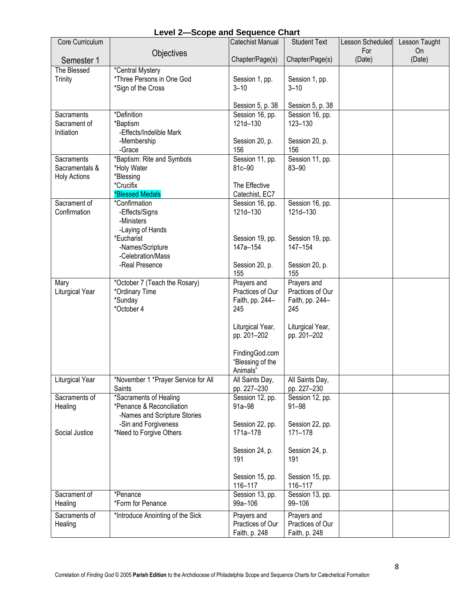| Core Curriculum          |                                                     | Catechist Manual                | <b>Student Text</b>             | Lesson Scheduled | Lesson Taught |
|--------------------------|-----------------------------------------------------|---------------------------------|---------------------------------|------------------|---------------|
|                          | Objectives                                          |                                 |                                 | For              | On            |
| Semester 1               |                                                     | Chapter/Page(s)                 | Chapter/Page(s)                 | (Date)           | (Date)        |
| The Blessed              | *Central Mystery                                    |                                 |                                 |                  |               |
| <b>Trinity</b>           | *Three Persons in One God                           | Session 1, pp.                  | Session 1, pp.                  |                  |               |
|                          | *Sign of the Cross                                  | $3 - 10$                        | $3 - 10$                        |                  |               |
|                          |                                                     | Session 5, p. 38                | Session 5, p. 38                |                  |               |
| Sacraments               | *Definition                                         | Session 16, pp.                 | Session 16, pp.                 |                  |               |
| Sacrament of             | *Baptism                                            | 121d-130                        | 123-130                         |                  |               |
| Initiation               | -Effects/Indelible Mark                             |                                 |                                 |                  |               |
|                          | -Membership                                         | Session 20, p.                  | Session 20, p.                  |                  |               |
| Sacraments               | -Grace<br>*Baptism: Rite and Symbols                | 156<br>Session 11, pp.          | 156<br>Session 11, pp.          |                  |               |
| Sacramentals &           | *Holy Water                                         | 81c-90                          | 83-90                           |                  |               |
| <b>Holy Actions</b>      | *Blessing                                           |                                 |                                 |                  |               |
|                          | *Crucifix                                           | The Effective                   |                                 |                  |               |
|                          | <b>*Blessed Medals</b>                              | Catechist, EC7                  |                                 |                  |               |
| Sacrament of             | *Confirmation                                       | Session 16, pp.                 | Session 16, pp.                 |                  |               |
| Confirmation             | -Effects/Signs<br>-Ministers                        | 121d-130                        | 121d-130                        |                  |               |
|                          | -Laying of Hands                                    |                                 |                                 |                  |               |
|                          | *Eucharist                                          | Session 19, pp.                 | Session 19, pp.                 |                  |               |
|                          | -Names/Scripture                                    | 147a-154                        | 147-154                         |                  |               |
|                          | -Celebration/Mass                                   |                                 |                                 |                  |               |
|                          | -Real Presence                                      | Session 20, p.                  | Session 20, p.                  |                  |               |
|                          |                                                     | 155                             | 155                             |                  |               |
| Mary<br>Liturgical Year  | *October 7 (Teach the Rosary)<br>*Ordinary Time     | Prayers and<br>Practices of Our | Prayers and<br>Practices of Our |                  |               |
|                          | *Sunday                                             | Faith, pp. 244-                 | Faith, pp. 244-                 |                  |               |
|                          | *October 4                                          | 245                             | 245                             |                  |               |
|                          |                                                     |                                 |                                 |                  |               |
|                          |                                                     | Liturgical Year,                | Liturgical Year,                |                  |               |
|                          |                                                     | pp. 201-202                     | pp. 201-202                     |                  |               |
|                          |                                                     | FindingGod.com                  |                                 |                  |               |
|                          |                                                     | "Blessing of the                |                                 |                  |               |
|                          |                                                     | Animals"                        |                                 |                  |               |
| Liturgical Year          | *November 1 *Prayer Service for All                 | All Saints Day,                 | All Saints Day,                 |                  |               |
|                          | Saints                                              | pp. 227-230                     | pp. 227-230                     |                  |               |
| Sacraments of<br>Healing | *Sacraments of Healing<br>*Penance & Reconciliation | Session 12, pp.<br>$91a - 98$   | Session 12, pp.<br>$91 - 98$    |                  |               |
|                          | -Names and Scripture Stories                        |                                 |                                 |                  |               |
|                          | -Sin and Forgiveness                                | Session 22, pp.                 | Session 22, pp.                 |                  |               |
| Social Justice           | *Need to Forgive Others                             | 171a-178                        | 171-178                         |                  |               |
|                          |                                                     |                                 |                                 |                  |               |
|                          |                                                     | Session 24, p.                  | Session 24, p.                  |                  |               |
|                          |                                                     | 191                             | 191                             |                  |               |
|                          |                                                     | Session 15, pp.                 | Session 15, pp.                 |                  |               |
|                          |                                                     | 116-117                         | 116-117                         |                  |               |
| Sacrament of             | *Penance                                            | Session 13, pp.                 | Session 13, pp.                 |                  |               |
| Healing                  | *Form for Penance                                   | 99a-106                         | 99-106                          |                  |               |
| Sacraments of            | *Introduce Anointing of the Sick                    | Prayers and                     | Prayers and                     |                  |               |
| Healing                  |                                                     | Practices of Our                | Practices of Our                |                  |               |
|                          |                                                     | Faith, p. 248                   | Faith, p. 248                   |                  |               |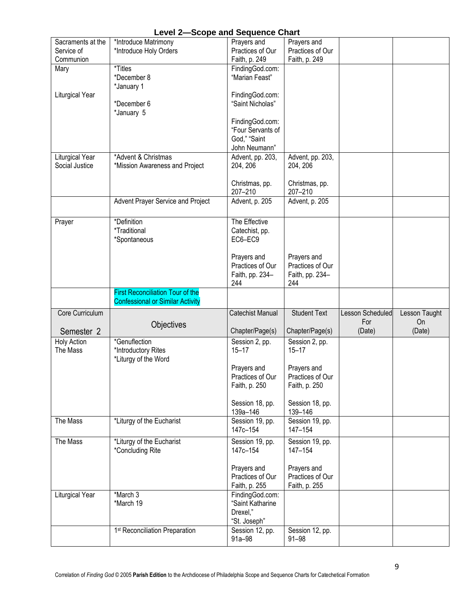|                    | Level 2—300pe and Sequence Chart           |                           |                              |                  |               |
|--------------------|--------------------------------------------|---------------------------|------------------------------|------------------|---------------|
| Sacraments at the  | *Introduce Matrimony                       | Prayers and               | Prayers and                  |                  |               |
| Service of         | *Introduce Holy Orders                     | Practices of Our          | Practices of Our             |                  |               |
| Communion          |                                            | Faith, p. 249             | Faith, p. 249                |                  |               |
| Mary               | *Titles                                    | FindingGod.com:           |                              |                  |               |
|                    |                                            |                           |                              |                  |               |
|                    | *December 8                                | "Marian Feast"            |                              |                  |               |
|                    | *January 1                                 |                           |                              |                  |               |
| Liturgical Year    |                                            | FindingGod.com:           |                              |                  |               |
|                    | *December 6                                | "Saint Nicholas"          |                              |                  |               |
|                    | *January 5                                 |                           |                              |                  |               |
|                    |                                            |                           |                              |                  |               |
|                    |                                            | FindingGod.com:           |                              |                  |               |
|                    |                                            | "Four Servants of         |                              |                  |               |
|                    |                                            | God," "Saint              |                              |                  |               |
|                    |                                            | John Neumann"             |                              |                  |               |
| Liturgical Year    | *Advent & Christmas                        | Advent, pp. 203,          | Advent, pp. 203,             |                  |               |
| Social Justice     | *Mission Awareness and Project             | 204, 206                  | 204, 206                     |                  |               |
|                    |                                            |                           |                              |                  |               |
|                    |                                            |                           |                              |                  |               |
|                    |                                            | Christmas, pp.            | Christmas, pp.               |                  |               |
|                    |                                            | 207-210                   | 207-210                      |                  |               |
|                    | Advent Prayer Service and Project          | Advent, p. 205            | Advent, p. 205               |                  |               |
|                    |                                            |                           |                              |                  |               |
|                    |                                            |                           |                              |                  |               |
| Prayer             | *Definition                                | The Effective             |                              |                  |               |
|                    | <i>*Traditional</i>                        | Catechist, pp.            |                              |                  |               |
|                    | *Spontaneous                               | EC6-EC9                   |                              |                  |               |
|                    |                                            |                           |                              |                  |               |
|                    |                                            | Prayers and               | Prayers and                  |                  |               |
|                    |                                            | Practices of Our          | Practices of Our             |                  |               |
|                    |                                            |                           |                              |                  |               |
|                    |                                            | Faith, pp. 234-           | Faith, pp. 234-              |                  |               |
|                    |                                            | 244                       | 244                          |                  |               |
|                    |                                            |                           |                              |                  |               |
|                    | <b>First Reconciliation Tour of the</b>    |                           |                              |                  |               |
|                    | <b>Confessional or Similar Activity</b>    |                           |                              |                  |               |
|                    |                                            |                           |                              |                  |               |
| Core Curriculum    |                                            | <b>Catechist Manual</b>   | Student Text                 | Lesson Scheduled | Lesson Taught |
|                    | Objectives                                 |                           |                              | For              | <b>On</b>     |
| Semester 2         |                                            | Chapter/Page(s)           | Chapter/Page(s)              | (Date)           | (Date)        |
|                    | *Genuflection                              |                           |                              |                  |               |
| <b>Holy Action</b> |                                            | Session 2, pp.            | Session 2, pp.               |                  |               |
| The Mass           | *Introductory Rites                        | $15 - 17$                 | $15 - 17$                    |                  |               |
|                    | *Liturgy of the Word                       |                           |                              |                  |               |
|                    |                                            | Prayers and               | Prayers and                  |                  |               |
|                    |                                            | Practices of Our          | Practices of Our             |                  |               |
|                    |                                            | Faith, p. 250             | Faith, p. 250                |                  |               |
|                    |                                            |                           |                              |                  |               |
|                    |                                            |                           |                              |                  |               |
|                    |                                            | Session 18, pp.           | Session 18, pp.              |                  |               |
|                    |                                            | 139a-146                  | 139-146                      |                  |               |
| The Mass           | *Liturgy of the Eucharist                  | Session 19, pp.           | Session 19, pp.              |                  |               |
|                    |                                            | 147c-154                  | 147-154                      |                  |               |
| The Mass           | *Liturgy of the Eucharist                  | Session 19, pp.           | Session 19, pp.              |                  |               |
|                    |                                            | 147c-154                  | 147-154                      |                  |               |
|                    | *Concluding Rite                           |                           |                              |                  |               |
|                    |                                            |                           |                              |                  |               |
|                    |                                            | Prayers and               | Prayers and                  |                  |               |
|                    |                                            | Practices of Our          | Practices of Our             |                  |               |
|                    |                                            | Faith, p. 255             | Faith, p. 255                |                  |               |
| Liturgical Year    | *March 3                                   | FindingGod.com:           |                              |                  |               |
|                    | *March 19                                  | "Saint Katharine          |                              |                  |               |
|                    |                                            | Drexel,"                  |                              |                  |               |
|                    |                                            |                           |                              |                  |               |
|                    |                                            | "St. Joseph"              |                              |                  |               |
|                    | 1 <sup>st</sup> Reconciliation Preparation | Session 12, pp.<br>91a-98 | Session 12, pp.<br>$91 - 98$ |                  |               |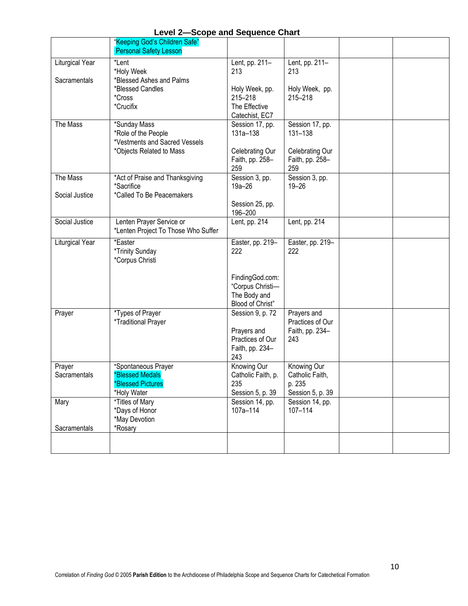|                                 | "Keeping God's Children Safe"<br><b>Personal Safety Lesson</b>                           |                                                                               |                                                              |  |
|---------------------------------|------------------------------------------------------------------------------------------|-------------------------------------------------------------------------------|--------------------------------------------------------------|--|
| Liturgical Year<br>Sacramentals | *Lent<br>*Holy Week<br>*Blessed Ashes and Palms                                          | Lent, pp. 211-<br>213                                                         | Lent, pp. 211-<br>213                                        |  |
|                                 | *Blessed Candles<br>*Cross<br>*Crucifix                                                  | Holy Week, pp.<br>215-218<br>The Effective<br>Catechist, EC7                  | Holy Week, pp.<br>215-218                                    |  |
| The Mass                        | *Sunday Mass<br>*Role of the People<br>*Vestments and Sacred Vessels                     | Session 17, pp.<br>131a-138                                                   | Session 17, pp.<br>131-138                                   |  |
|                                 | *Objects Related to Mass                                                                 | Celebrating Our<br>Faith, pp. 258-<br>259                                     | Celebrating Our<br>Faith, pp. 258-<br>259                    |  |
| The Mass<br>Social Justice      | *Act of Praise and Thanksgiving<br>*Sacrifice<br>*Called To Be Peacemakers               | Session 3, pp.<br>$19a - 26$                                                  | Session 3, pp.<br>$19 - 26$                                  |  |
|                                 |                                                                                          | Session 25, pp.<br>196-200                                                    |                                                              |  |
| Social Justice                  | Lenten Prayer Service or<br>*Lenten Project To Those Who Suffer                          | Lent, pp. 214                                                                 | Lent, pp. 214                                                |  |
| Liturgical Year                 | *Easter<br>*Trinity Sunday<br>*Corpus Christi                                            | Easter, pp. 219-<br>222                                                       | Easter, pp. 219-<br>222                                      |  |
|                                 |                                                                                          | FindingGod.com:<br>"Corpus Christi-<br>The Body and<br>Blood of Christ"       |                                                              |  |
| Prayer                          | *Types of Prayer<br>*Traditional Prayer                                                  | Session 9, p. 72<br>Prayers and<br>Practices of Our<br>Faith, pp. 234-<br>243 | Prayers and<br>Practices of Our<br>Faith, pp. 234-<br>243    |  |
| Prayer<br>Sacramentals          | *Spontaneous Prayer<br><b>*Blessed Medals</b><br><b>*Blessed Pictures</b><br>*Holy Water | Knowing Our<br>Catholic Faith, p.<br>235<br>Session 5, p. 39                  | Knowing Our<br>Catholic Faith,<br>p. 235<br>Session 5, p. 39 |  |
| Mary<br>Sacramentals            | *Titles of Mary<br>*Days of Honor<br>*May Devotion<br>*Rosary                            | Session 14, pp.<br>107a-114                                                   | Session 14, pp.<br>107-114                                   |  |
|                                 |                                                                                          |                                                                               |                                                              |  |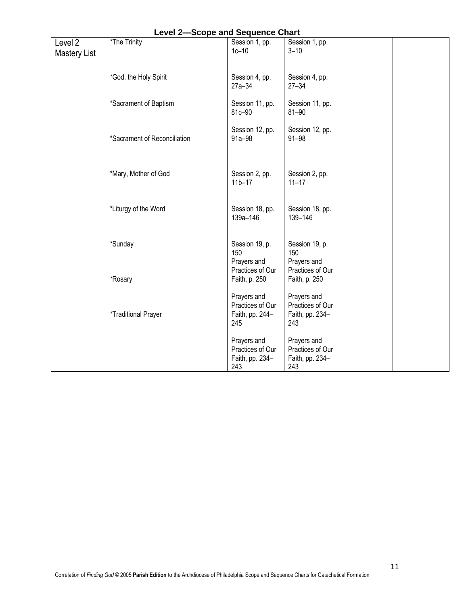|                     | Level 2-Scope and Sequence Chart |                  |                  |  |
|---------------------|----------------------------------|------------------|------------------|--|
| Level <sub>2</sub>  | *The Trinity                     | Session 1, pp.   | Session 1, pp.   |  |
| <b>Mastery List</b> |                                  | $1c-10$          | $3 - 10$         |  |
|                     |                                  |                  |                  |  |
|                     |                                  |                  |                  |  |
|                     | *God, the Holy Spirit            | Session 4, pp.   | Session 4, pp.   |  |
|                     |                                  | $27a - 34$       | $27 - 34$        |  |
|                     |                                  |                  |                  |  |
|                     | *Sacrament of Baptism            | Session 11, pp.  | Session 11, pp.  |  |
|                     |                                  | 81c-90           | $81 - 90$        |  |
|                     |                                  |                  |                  |  |
|                     |                                  | Session 12, pp.  | Session 12, pp.  |  |
|                     | *Sacrament of Reconciliation     | $91a - 98$       | $91 - 98$        |  |
|                     |                                  |                  |                  |  |
|                     |                                  |                  |                  |  |
|                     |                                  |                  |                  |  |
|                     | *Mary, Mother of God             | Session 2, pp.   | Session 2, pp.   |  |
|                     |                                  | $11b - 17$       | $11 - 17$        |  |
|                     |                                  |                  |                  |  |
|                     |                                  |                  |                  |  |
|                     | *Liturgy of the Word             | Session 18, pp.  | Session 18, pp.  |  |
|                     |                                  | 139a-146         | 139-146          |  |
|                     |                                  |                  |                  |  |
|                     |                                  |                  |                  |  |
|                     | *Sunday                          | Session 19, p.   | Session 19, p.   |  |
|                     |                                  | 150              | 150              |  |
|                     |                                  | Prayers and      | Prayers and      |  |
|                     |                                  | Practices of Our | Practices of Our |  |
|                     | *Rosary                          | Faith, p. 250    | Faith, p. 250    |  |
|                     |                                  |                  |                  |  |
|                     |                                  | Prayers and      | Prayers and      |  |
|                     |                                  | Practices of Our | Practices of Our |  |
|                     | *Traditional Prayer              | Faith, pp. 244-  | Faith, pp. 234-  |  |
|                     |                                  | 245              | 243              |  |
|                     |                                  |                  |                  |  |
|                     |                                  | Prayers and      | Prayers and      |  |
|                     |                                  | Practices of Our | Practices of Our |  |
|                     |                                  | Faith, pp. 234-  | Faith, pp. 234-  |  |
|                     |                                  | 243              | 243              |  |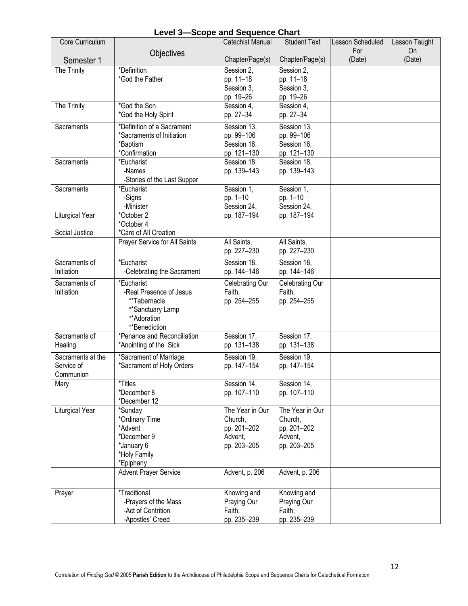| Core Curriculum        |                                              | <b>Catechist Manual</b> | <b>Student Text</b>     | Lesson Scheduled | Lesson Taught |
|------------------------|----------------------------------------------|-------------------------|-------------------------|------------------|---------------|
|                        | Objectives                                   |                         |                         | For              | <b>On</b>     |
| Semester 1             |                                              | Chapter/Page(s)         | Chapter/Page(s)         | (Date)           | (Date)        |
| The Trinity            | *Definition<br>*God the Father               | Session 2,<br>pp. 11-18 | Session 2,<br>pp. 11-18 |                  |               |
|                        |                                              | Session 3,              | Session 3,              |                  |               |
|                        |                                              | pp. 19-26               | pp. 19-26               |                  |               |
| The Trinity            | *God the Son                                 | Session 4.              | Session 4,              |                  |               |
|                        | *God the Holy Spirit                         | pp. 27-34               | pp. 27-34               |                  |               |
| Sacraments             | *Definition of a Sacrament                   | Session 13,             | Session 13,             |                  |               |
|                        | *Sacraments of Initiation                    | pp. 99-106              | pp. 99-106              |                  |               |
|                        | *Baptism                                     | Session 16.             | Session 16,             |                  |               |
|                        | *Confirmation                                | pp. 121-130             | pp. 121-130             |                  |               |
| Sacraments             | *Eucharist                                   | Session 18,             | Session 18,             |                  |               |
|                        | -Names<br>-Stories of the Last Supper        | pp. 139-143             | pp. 139-143             |                  |               |
| Sacraments             | *Eucharist                                   | Session 1,              | Session 1,              |                  |               |
|                        | -Signs                                       | pp. 1-10                | pp. 1-10                |                  |               |
|                        | -Minister                                    | Session 24,             | Session 24,             |                  |               |
| Liturgical Year        | *October 2                                   | pp. 187-194             | pp. 187-194             |                  |               |
|                        | *October 4                                   |                         |                         |                  |               |
| Social Justice         | *Care of All Creation                        |                         |                         |                  |               |
|                        | Prayer Service for All Saints                | All Saints,             | All Saints,             |                  |               |
|                        |                                              | pp. 227-230             | pp. 227-230             |                  |               |
| Sacraments of          | *Eucharist                                   | Session 18,             | Session 18,             |                  |               |
| Initiation             | -Celebrating the Sacrament                   | pp. 144-146             | pp. 144-146             |                  |               |
| Sacraments of          | *Eucharist                                   | Celebrating Our         | Celebrating Our         |                  |               |
| Initiation             | -Real Presence of Jesus                      | Faith,                  | Faith,                  |                  |               |
|                        | **Tabernacle                                 | pp. 254-255             | pp. 254-255             |                  |               |
|                        | **Sanctuary Lamp                             |                         |                         |                  |               |
|                        | **Adoration                                  |                         |                         |                  |               |
| Sacraments of          | **Benediction<br>*Penance and Reconciliation | Session 17,             | Session 17,             |                  |               |
| Healing                | *Anointing of the Sick                       | pp. 131-138             | pp. 131-138             |                  |               |
| Sacraments at the      | *Sacrament of Marriage                       | Session 19,             | Session 19,             |                  |               |
| Service of             | *Sacrament of Holy Orders                    | pp. 147-154             | pp. 147-154             |                  |               |
| Communion              |                                              |                         |                         |                  |               |
| Mary                   | *Titles                                      | Session 14,             | Session 14,             |                  |               |
|                        | *December 8                                  | pp. 107-110             | pp. 107-110             |                  |               |
|                        | *December 12                                 |                         |                         |                  |               |
| <b>Liturgical Year</b> | *Sunday                                      | The Year in Our         | The Year in Our         |                  |               |
|                        | *Ordinary Time                               | Church,                 | Church,                 |                  |               |
|                        | *Advent<br>*December 9                       | pp. 201-202<br>Advent,  | pp. 201-202<br>Advent,  |                  |               |
|                        | *January 6                                   | pp. 203-205             | pp. 203-205             |                  |               |
|                        | *Holy Family                                 |                         |                         |                  |               |
|                        | *Epiphany                                    |                         |                         |                  |               |
|                        | <b>Advent Prayer Service</b>                 | Advent, p. 206          | Advent, p. 206          |                  |               |
|                        |                                              |                         |                         |                  |               |
| Prayer                 | <i>*Traditional</i>                          | Knowing and             | Knowing and             |                  |               |
|                        | -Prayers of the Mass                         | Praying Our             | Praying Our             |                  |               |
|                        | -Act of Contrition                           | Faith,                  | Faith,                  |                  |               |
|                        | -Apostles' Creed                             | pp. 235-239             | pp. 235-239             |                  |               |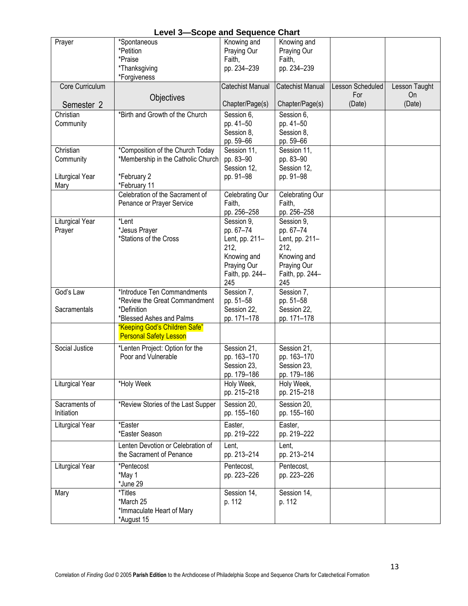| <b>Level 3-Scope and Sequence Chart</b> |
|-----------------------------------------|
|-----------------------------------------|

|                 | Level 3—3CODE and Sequence Chart   |                         |                         |                  |               |
|-----------------|------------------------------------|-------------------------|-------------------------|------------------|---------------|
| Prayer          | *Spontaneous                       | Knowing and             | Knowing and             |                  |               |
|                 | *Petition                          | Praying Our             | Praying Our             |                  |               |
|                 | *Praise                            | Faith,                  | Faith,                  |                  |               |
|                 | *Thanksgiving                      | pp. 234-239             | pp. 234-239             |                  |               |
|                 | *Forgiveness                       |                         |                         |                  |               |
|                 |                                    |                         |                         |                  |               |
| Core Curriculum |                                    | <b>Catechist Manual</b> | <b>Catechist Manual</b> | Lesson Scheduled | Lesson Taught |
|                 | Objectives                         |                         |                         | For              | On            |
| Semester 2      |                                    | Chapter/Page(s)         | Chapter/Page(s)         | (Date)           | (Date)        |
| Christian       | *Birth and Growth of the Church    | Session 6,              | Session 6,              |                  |               |
| Community       |                                    | pp. 41-50               | pp. 41-50               |                  |               |
|                 |                                    | Session 8,              | Session 8,              |                  |               |
|                 |                                    | pp. 59-66               | pp. 59-66               |                  |               |
| Christian       | *Composition of the Church Today   | Session 11,             | Session 11,             |                  |               |
|                 |                                    |                         |                         |                  |               |
| Community       | *Membership in the Catholic Church | pp. 83-90               | pp. 83-90               |                  |               |
|                 |                                    | Session 12,             | Session 12,             |                  |               |
| Liturgical Year | *February 2                        | pp. 91-98               | pp. 91-98               |                  |               |
| Mary            | *February 11                       |                         |                         |                  |               |
|                 | Celebration of the Sacrament of    | Celebrating Our         | Celebrating Our         |                  |               |
|                 | Penance or Prayer Service          | Faith,                  | Faith,                  |                  |               |
|                 |                                    | pp. 256-258             | pp. 256-258             |                  |               |
| Liturgical Year | *Lent                              | Session 9,              | Session 9,              |                  |               |
| Prayer          | *Jesus Prayer                      | pp. 67-74               | pp. 67-74               |                  |               |
|                 | *Stations of the Cross             | Lent, pp. 211-          | Lent, pp. 211-          |                  |               |
|                 |                                    | 212,                    | 212,                    |                  |               |
|                 |                                    |                         |                         |                  |               |
|                 |                                    | Knowing and             | Knowing and             |                  |               |
|                 |                                    | Praying Our             | Praying Our             |                  |               |
|                 |                                    | Faith, pp. 244-         | Faith, pp. 244-         |                  |               |
|                 |                                    | 245                     | 245                     |                  |               |
| God's Law       | *Introduce Ten Commandments        | Session 7,              | Session 7,              |                  |               |
|                 | *Review the Great Commandment      | pp. 51-58               | pp. 51-58               |                  |               |
| Sacramentals    | *Definition                        | Session 22,             | Session 22,             |                  |               |
|                 | *Blessed Ashes and Palms           | pp. 171-178             | pp. 171-178             |                  |               |
|                 | "Keeping God's Children Safe"      |                         |                         |                  |               |
|                 | <b>Personal Safety Lesson</b>      |                         |                         |                  |               |
|                 |                                    |                         |                         |                  |               |
| Social Justice  | *Lenten Project: Option for the    | Session 21,             | Session 21,             |                  |               |
|                 | Poor and Vulnerable                | pp. 163-170             | pp. 163-170             |                  |               |
|                 |                                    | Session 23,             | Session 23,             |                  |               |
|                 |                                    | pp. 179-186             | pp. 179-186             |                  |               |
| Liturgical Year | *Holy Week                         | Holy Week,              | Holy Week,              |                  |               |
|                 |                                    | pp. 215-218             | pp. 215-218             |                  |               |
| Sacraments of   | *Review Stories of the Last Supper | Session 20,             | Session 20,             |                  |               |
|                 |                                    |                         |                         |                  |               |
| Initiation      |                                    | pp. 155-160             | pp. 155-160             |                  |               |
| Liturgical Year | *Easter                            | Easter,                 | Easter,                 |                  |               |
|                 | *Easter Season                     | pp. 219-222             | pp. 219-222             |                  |               |
|                 | Lenten Devotion or Celebration of  | Lent,                   | Lent,                   |                  |               |
|                 |                                    |                         |                         |                  |               |
|                 | the Sacrament of Penance           | pp. 213-214             | pp. 213-214             |                  |               |
| Liturgical Year | *Pentecost                         | Pentecost,              | Pentecost,              |                  |               |
|                 | *May 1                             | pp. 223-226             | pp. 223-226             |                  |               |
|                 | *June 29                           |                         |                         |                  |               |
| Mary            | *Titles                            | Session 14,             | Session 14,             |                  |               |
|                 | *March 25                          | p. 112                  | p. 112                  |                  |               |
|                 |                                    |                         |                         |                  |               |
|                 | *Immaculate Heart of Mary          |                         |                         |                  |               |
|                 | *August 15                         |                         |                         |                  |               |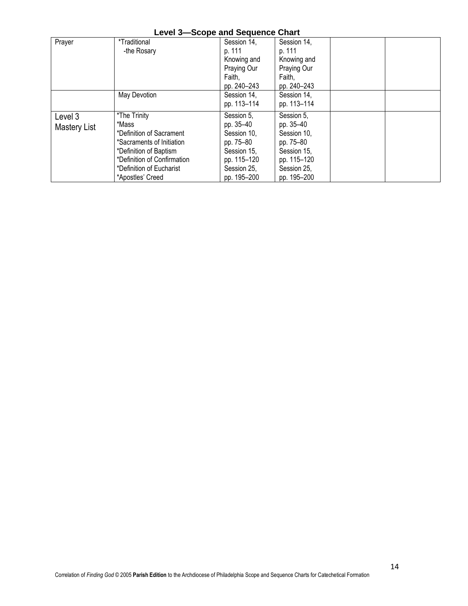|  |  |  | <b>Level 3-Scope and Sequence Chart</b> |  |
|--|--|--|-----------------------------------------|--|
|--|--|--|-----------------------------------------|--|

| Prayer       | *Traditional                | Session 14, | Session 14, |  |
|--------------|-----------------------------|-------------|-------------|--|
|              | -the Rosary                 | p. 111      | p. 111      |  |
|              |                             | Knowing and | Knowing and |  |
|              |                             | Praying Our | Praying Our |  |
|              |                             | Faith,      | Faith,      |  |
|              |                             | pp. 240-243 | pp. 240-243 |  |
|              | May Devotion                | Session 14, | Session 14, |  |
|              |                             | pp. 113-114 | pp. 113-114 |  |
| Level 3      | *The Trinity                | Session 5,  | Session 5.  |  |
| Mastery List | *Mass                       | pp. 35-40   | pp. 35-40   |  |
|              | *Definition of Sacrament    | Session 10, | Session 10, |  |
|              | *Sacraments of Initiation   | pp. 75-80   | pp. 75-80   |  |
|              | *Definition of Baptism      | Session 15, | Session 15, |  |
|              | *Definition of Confirmation | pp. 115-120 | pp. 115-120 |  |
|              | *Definition of Eucharist    | Session 25, | Session 25, |  |
|              | *Apostles' Creed            | pp. 195-200 | pp. 195-200 |  |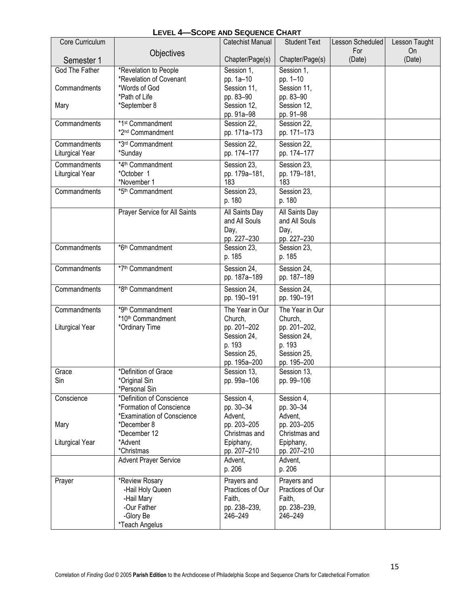| Core Curriculum |                                                       | Catechist Manual                | <b>Student Text</b>             | Lesson Scheduled | Lesson Taught |
|-----------------|-------------------------------------------------------|---------------------------------|---------------------------------|------------------|---------------|
|                 | Objectives                                            |                                 |                                 | For              | <b>On</b>     |
| Semester 1      |                                                       | Chapter/Page(s)                 | Chapter/Page(s)                 | (Date)           | (Date)        |
| God The Father  | *Revelation to People<br>*Revelation of Covenant      | Session 1,<br>pp. 1a-10         | Session 1,<br>pp. 1-10          |                  |               |
| Commandments    | *Words of God                                         | Session 11,                     | Session 11,                     |                  |               |
|                 | *Path of Life                                         | pp. 83-90                       | pp. 83-90                       |                  |               |
| Mary            | *September 8                                          | Session 12,                     | Session 12,                     |                  |               |
|                 |                                                       | pp. 91a-98                      | pp. 91-98                       |                  |               |
| Commandments    | *1st Commandment                                      | Session 22,                     | Session 22,                     |                  |               |
|                 | *2 <sup>nd</sup> Commandment                          | pp. 171a-173                    | pp. 171-173                     |                  |               |
| Commandments    | *3rd Commandment                                      | Session 22,                     | Session 22,                     |                  |               |
| Liturgical Year | *Sunday                                               | pp. 174-177                     | pp. 174-177                     |                  |               |
| Commandments    | *4 <sup>th</sup> Commandment                          | Session 23,                     | Session 23,                     |                  |               |
| Liturgical Year | *October 1                                            | pp. 179a-181,                   | pp. 179-181,                    |                  |               |
|                 | *November 1                                           | 183                             | 183                             |                  |               |
| Commandments    | *5 <sup>th</sup> Commandment                          | Session 23,<br>p. 180           | Session 23.<br>p. 180           |                  |               |
|                 |                                                       |                                 |                                 |                  |               |
|                 | Prayer Service for All Saints                         | All Saints Day<br>and All Souls | All Saints Day<br>and All Souls |                  |               |
|                 |                                                       | Day,                            | Day,                            |                  |               |
|                 |                                                       | pp. 227-230                     | pp. 227-230                     |                  |               |
| Commandments    | *6 <sup>th</sup> Commandment                          | Session 23,                     | Session 23,                     |                  |               |
|                 |                                                       | p. 185                          | p. 185                          |                  |               |
| Commandments    | *7 <sup>th</sup> Commandment                          | Session 24,                     | Session 24,                     |                  |               |
|                 |                                                       | pp. 187a-189                    | pp. 187-189                     |                  |               |
| Commandments    | *8 <sup>th</sup> Commandment                          | Session 24,                     | Session 24,                     |                  |               |
|                 |                                                       | pp. 190-191                     | pp. 190-191                     |                  |               |
| Commandments    | *9th Commandment                                      | The Year in Our                 | The Year in Our                 |                  |               |
|                 | *10th Commandment                                     | Church,                         | Church,                         |                  |               |
| Liturgical Year | *Ordinary Time                                        | pp. 201-202                     | pp. 201-202,                    |                  |               |
|                 |                                                       | Session 24,<br>p. 193           | Session 24,<br>p. 193           |                  |               |
|                 |                                                       | Session 25.                     | Session 25,                     |                  |               |
|                 |                                                       | pp. 195a-200                    | pp. 195-200                     |                  |               |
| Grace           | *Definition of Grace                                  | Session 13,                     | Session 13,                     |                  |               |
| Sin             | *Original Sin                                         | pp. 99a-106                     | pp. 99-106                      |                  |               |
|                 | *Personal Sin                                         |                                 |                                 |                  |               |
| Conscience      | *Definition of Conscience<br>*Formation of Conscience | Session 4,<br>pp. 30-34         | Session 4,<br>pp. 30-34         |                  |               |
|                 | *Examination of Conscience                            | Advent,                         | Advent,                         |                  |               |
| Mary            | *December 8                                           | pp. 203-205                     | pp. 203-205                     |                  |               |
|                 | *December 12                                          | Christmas and                   | Christmas and                   |                  |               |
| Liturgical Year | *Advent                                               | Epiphany,                       | Epiphany,                       |                  |               |
|                 | *Christmas                                            | pp. 207-210                     | pp. 207-210                     |                  |               |
|                 | <b>Advent Prayer Service</b>                          | Advent,                         | Advent,                         |                  |               |
|                 |                                                       | p. 206                          | p. 206                          |                  |               |
| Prayer          | *Review Rosary                                        | Prayers and                     | Prayers and                     |                  |               |
|                 | -Hail Holy Queen<br>-Hail Mary                        | Practices of Our<br>Faith,      | Practices of Our<br>Faith,      |                  |               |
|                 | -Our Father                                           | pp. 238-239,                    | pp. 238-239,                    |                  |               |
|                 | -Glory Be                                             | 246-249                         | 246-249                         |                  |               |
|                 | *Teach Angelus                                        |                                 |                                 |                  |               |

# **LEVEL 4—SCOPE AND SEQUENCE CHART**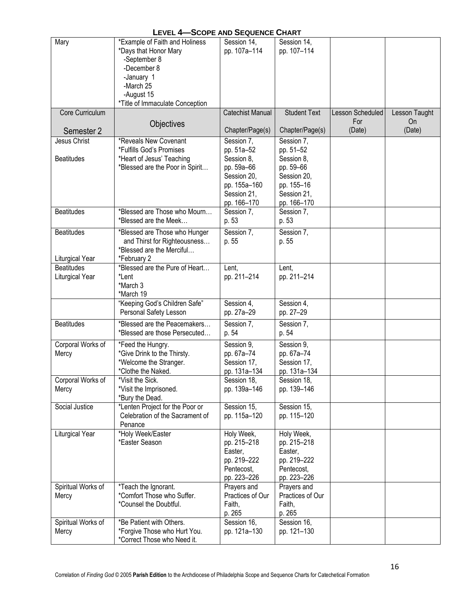| <b>LEVEL 4-SCOPE AND SEQUENCE CHART</b> |                                 |                  |                     |                  |               |  |
|-----------------------------------------|---------------------------------|------------------|---------------------|------------------|---------------|--|
| Mary                                    | *Example of Faith and Holiness  | Session 14,      | Session 14,         |                  |               |  |
|                                         | *Days that Honor Mary           | pp. 107a-114     | pp. 107-114         |                  |               |  |
|                                         | -September 8                    |                  |                     |                  |               |  |
|                                         | -December 8                     |                  |                     |                  |               |  |
|                                         | -January 1                      |                  |                     |                  |               |  |
|                                         | -March 25                       |                  |                     |                  |               |  |
|                                         | -August 15                      |                  |                     |                  |               |  |
|                                         | *Title of Immaculate Conception |                  |                     |                  |               |  |
| Core Curriculum                         |                                 | Catechist Manual | <b>Student Text</b> | Lesson Scheduled | Lesson Taught |  |
|                                         |                                 |                  |                     | For              | On            |  |
|                                         | Objectives                      | Chapter/Page(s)  | Chapter/Page(s)     | (Date)           | (Date)        |  |
| Semester 2                              |                                 |                  |                     |                  |               |  |
| Jesus Christ                            | *Reveals New Covenant           | Session 7,       | Session 7,          |                  |               |  |
|                                         | *Fulfills God's Promises        | pp. 51a-52       | pp. 51-52           |                  |               |  |
| <b>Beatitudes</b>                       | *Heart of Jesus' Teaching       | Session 8,       | Session 8,          |                  |               |  |
|                                         | *Blessed are the Poor in Spirit | pp. 59a-66       | pp. 59-66           |                  |               |  |
|                                         |                                 | Session 20,      | Session 20,         |                  |               |  |
|                                         |                                 | pp. 155a-160     | pp. 155-16          |                  |               |  |
|                                         |                                 | Session 21,      | Session 21,         |                  |               |  |
|                                         |                                 | pp. 166-170      | pp. 166-170         |                  |               |  |
| <b>Beatitudes</b>                       | *Blessed are Those who Mourn    | Session 7,       | Session 7,          |                  |               |  |
|                                         | *Blessed are the Meek           | p. 53            | p. 53               |                  |               |  |
| <b>Beatitudes</b>                       |                                 |                  |                     |                  |               |  |
|                                         | *Blessed are Those who Hunger   | Session 7,       | Session 7,          |                  |               |  |
|                                         | and Thirst for Righteousness    | p. 55            | p. 55               |                  |               |  |
|                                         | *Blessed are the Merciful       |                  |                     |                  |               |  |
| Liturgical Year                         | *February 2                     |                  |                     |                  |               |  |
| <b>Beatitudes</b>                       | *Blessed are the Pure of Heart  | Lent,            | Lent,               |                  |               |  |
| Liturgical Year                         | *Lent                           | pp. 211-214      | pp. 211-214         |                  |               |  |
|                                         | *March 3                        |                  |                     |                  |               |  |
|                                         | *March 19                       |                  |                     |                  |               |  |
|                                         | "Keeping God's Children Safe"   | Session 4,       | Session 4,          |                  |               |  |
|                                         | Personal Safety Lesson          | pp. 27a-29       | pp. 27-29           |                  |               |  |
| <b>Beatitudes</b>                       | *Blessed are the Peacemakers    | Session 7,       | Session 7,          |                  |               |  |
|                                         | *Blessed are those Persecuted   | p. 54            | p. 54               |                  |               |  |
|                                         |                                 |                  |                     |                  |               |  |
| Corporal Works of                       | *Feed the Hungry.               | Session 9,       | Session 9,          |                  |               |  |
| Mercy                                   | *Give Drink to the Thirsty.     | pp. 67a-74       | pp. 67a-74          |                  |               |  |
|                                         | *Welcome the Stranger.          | Session 17,      | Session 17,         |                  |               |  |
|                                         | *Clothe the Naked.              | pp. 131a-134     | pp. 131a-134        |                  |               |  |
| Corporal Works of                       | *Visit the Sick.                | Session 18,      | Session 18,         |                  |               |  |
| Mercy                                   | *Visit the Imprisoned.          | pp. 139a-146     | pp. 139-146         |                  |               |  |
|                                         | *Bury the Dead.                 |                  |                     |                  |               |  |
| Social Justice                          | *Lenten Project for the Poor or | Session 15,      | Session 15,         |                  |               |  |
|                                         | Celebration of the Sacrament of | pp. 115a-120     | pp. 115-120         |                  |               |  |
|                                         | Penance                         |                  |                     |                  |               |  |
| Liturgical Year                         | *Holy Week/Easter               | Holy Week,       | Holy Week,          |                  |               |  |
|                                         | *Easter Season                  | pp. 215-218      | pp. 215-218         |                  |               |  |
|                                         |                                 | Easter,          | Easter,             |                  |               |  |
|                                         |                                 | pp. 219-222      | pp. 219-222         |                  |               |  |
|                                         |                                 |                  |                     |                  |               |  |
|                                         |                                 | Pentecost,       | Pentecost,          |                  |               |  |
|                                         |                                 | pp. 223-226      | pp. 223-226         |                  |               |  |
| Spiritual Works of                      | *Teach the Ignorant.            | Prayers and      | Prayers and         |                  |               |  |
| Mercy                                   | *Comfort Those who Suffer.      | Practices of Our | Practices of Our    |                  |               |  |
|                                         | *Counsel the Doubtful.          | Faith,           | Faith,              |                  |               |  |
|                                         |                                 | p. 265           | p. 265              |                  |               |  |
| Spiritual Works of                      | *Be Patient with Others.        | Session $16$ ,   | Session 16,         |                  |               |  |
| Mercy                                   | *Forgive Those who Hurt You.    | pp. 121a-130     | pp. 121-130         |                  |               |  |
|                                         | *Correct Those who Need it.     |                  |                     |                  |               |  |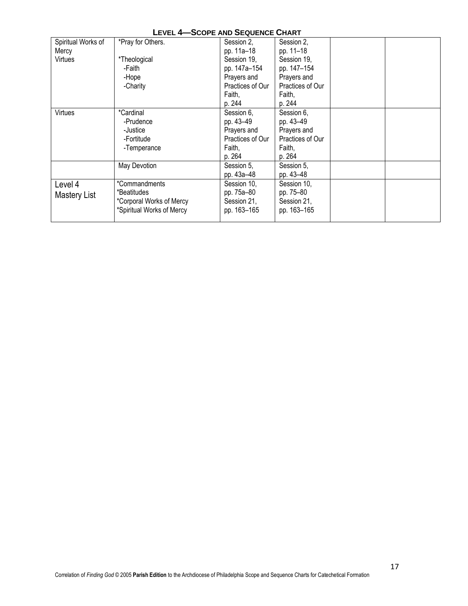|                    | LEVEL 4-SCOPE AND SEQUENCE CHART |                  |                  |  |  |  |
|--------------------|----------------------------------|------------------|------------------|--|--|--|
| Spiritual Works of | *Pray for Others.                | Session 2,       | Session 2,       |  |  |  |
| Mercy              |                                  | pp. 11a-18       | pp. 11-18        |  |  |  |
| Virtues            | *Theological                     | Session 19,      | Session 19,      |  |  |  |
|                    | -Faith                           | pp. 147a-154     | pp. 147-154      |  |  |  |
|                    | -Hope                            | Prayers and      | Prayers and      |  |  |  |
|                    | -Charity                         | Practices of Our | Practices of Our |  |  |  |
|                    |                                  | Faith,           | Faith,           |  |  |  |
|                    |                                  | p. 244           | p. 244           |  |  |  |
| Virtues            | *Cardinal                        | Session 6,       | Session 6,       |  |  |  |
|                    | -Prudence                        | pp. 43-49        | pp. 43-49        |  |  |  |
|                    | -Justice                         | Prayers and      | Prayers and      |  |  |  |
|                    | -Fortitude                       | Practices of Our | Practices of Our |  |  |  |
|                    | -Temperance                      | Faith,           | Faith,           |  |  |  |
|                    |                                  | p. 264           | p. 264           |  |  |  |
|                    | May Devotion                     | Session 5,       | Session 5,       |  |  |  |
|                    |                                  | pp. 43a-48       | pp. 43-48        |  |  |  |
| Level 4            | *Commandments                    | Session 10,      | Session 10,      |  |  |  |
| Mastery List       | *Beatitudes                      | pp. 75a-80       | pp. 75–80        |  |  |  |
|                    | *Corporal Works of Mercy         | Session 21,      | Session 21,      |  |  |  |
|                    | *Spiritual Works of Mercy        | pp. 163-165      | pp. 163-165      |  |  |  |
|                    |                                  |                  |                  |  |  |  |

# **LEVEL 4—SCOPE AND SEQUENCE CHART**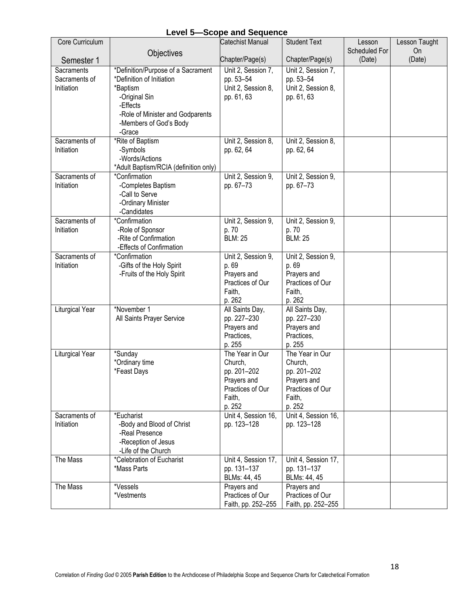| Core Curriculum                           |                                                                                                                                                                                  | Catechist Manual                                                                                 | <b>Student Text</b>                                                                              | Lesson        | Lesson Taught |
|-------------------------------------------|----------------------------------------------------------------------------------------------------------------------------------------------------------------------------------|--------------------------------------------------------------------------------------------------|--------------------------------------------------------------------------------------------------|---------------|---------------|
|                                           | Objectives                                                                                                                                                                       |                                                                                                  |                                                                                                  | Scheduled For | <b>On</b>     |
| Semester 1                                |                                                                                                                                                                                  | Chapter/Page(s)                                                                                  | Chapter/Page(s)                                                                                  | (Date)        | (Date)        |
| Sacraments<br>Sacraments of<br>Initiation | *Definition/Purpose of a Sacrament<br>*Definition of Initiation<br>*Baptism<br>-Original Sin<br>-Effects<br>-Role of Minister and Godparents<br>-Members of God's Body<br>-Grace | Unit 2, Session 7,<br>pp. 53-54<br>Unit 2, Session 8,<br>pp. 61, 63                              | Unit 2, Session 7,<br>pp. 53-54<br>Unit 2, Session 8,<br>pp. 61, 63                              |               |               |
| Sacraments of                             | *Rite of Baptism                                                                                                                                                                 | Unit 2, Session 8,                                                                               | Unit 2, Session 8,                                                                               |               |               |
| Initiation                                | -Symbols<br>-Words/Actions<br>*Adult Baptism/RCIA (definition only)                                                                                                              | pp. 62, 64                                                                                       | pp. 62, 64                                                                                       |               |               |
| Sacraments of<br>Initiation               | *Confirmation<br>-Completes Baptism<br>-Call to Serve<br>-Ordinary Minister<br>-Candidates                                                                                       | Unit 2, Session 9,<br>pp. 67-73                                                                  | Unit 2, Session 9,<br>pp. 67-73                                                                  |               |               |
| Sacraments of<br>Initiation               | *Confirmation<br>-Role of Sponsor<br>-Rite of Confirmation<br>-Effects of Confirmation                                                                                           | Unit 2, Session 9,<br>p. 70<br><b>BLM: 25</b>                                                    | Unit 2, Session 9,<br>p. 70<br><b>BLM: 25</b>                                                    |               |               |
| Sacraments of<br>Initiation               | *Confirmation<br>-Gifts of the Holy Spirit<br>-Fruits of the Holy Spirit                                                                                                         | Unit 2, Session 9,<br>p. 69<br>Prayers and<br>Practices of Our<br>Faith,<br>p. 262               | Unit 2, Session 9,<br>p. 69<br>Prayers and<br>Practices of Our<br>Faith,<br>p. 262               |               |               |
| <b>Liturgical Year</b>                    | *November 1<br>All Saints Prayer Service                                                                                                                                         | All Saints Day,<br>pp. 227-230<br>Prayers and<br>Practices,<br>p. 255                            | All Saints Day,<br>pp. 227-230<br>Prayers and<br>Practices,<br>p. 255                            |               |               |
| <b>Liturgical Year</b>                    | *Sunday<br>*Ordinary time<br>*Feast Days                                                                                                                                         | The Year in Our<br>Church,<br>pp. 201-202<br>Prayers and<br>Practices of Our<br>Faith,<br>p. 252 | The Year in Our<br>Church,<br>pp. 201-202<br>Prayers and<br>Practices of Our<br>Faith,<br>p. 252 |               |               |
| Sacraments of<br>Initiation               | *Eucharist<br>-Body and Blood of Christ<br>-Real Presence<br>-Reception of Jesus<br>-Life of the Church                                                                          | Unit 4, Session 16,<br>pp. 123-128                                                               | Unit 4, Session 16,<br>pp. 123-128                                                               |               |               |
| The Mass                                  | *Celebration of Eucharist<br>*Mass Parts                                                                                                                                         | Unit 4, Session 17,<br>pp. 131-137<br>BLMs: 44, 45                                               | Unit 4, Session 17,<br>pp. 131-137<br>BLMs: 44, 45                                               |               |               |
| The Mass                                  | *Vessels<br>*Vestments                                                                                                                                                           | Prayers and<br>Practices of Our<br>Faith, pp. 252-255                                            | Prayers and<br>Practices of Our<br>Faith, pp. 252-255                                            |               |               |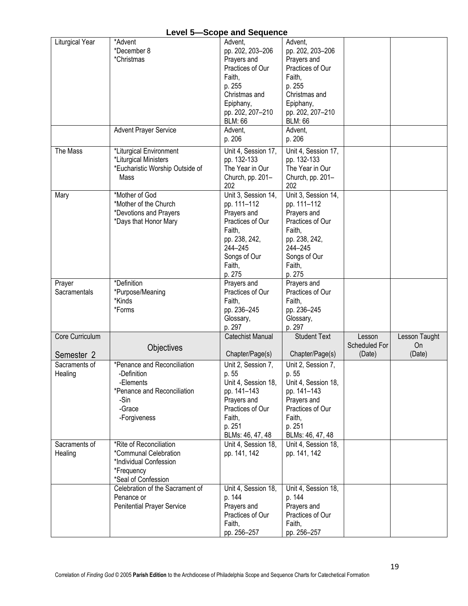|                                          |                                                                                                                          | Level <b>3</b> -Scope and Sequence                                                                                                                                |                                                                                                                                                                   |                                   |                               |
|------------------------------------------|--------------------------------------------------------------------------------------------------------------------------|-------------------------------------------------------------------------------------------------------------------------------------------------------------------|-------------------------------------------------------------------------------------------------------------------------------------------------------------------|-----------------------------------|-------------------------------|
| Liturgical Year                          | *Advent<br>*December 8<br>*Christmas<br><b>Advent Prayer Service</b>                                                     | Advent.<br>pp. 202, 203-206<br>Prayers and<br>Practices of Our<br>Faith,<br>p. 255<br>Christmas and<br>Epiphany,<br>pp. 202, 207-210<br><b>BLM: 66</b><br>Advent, | Advent,<br>pp. 202, 203-206<br>Prayers and<br>Practices of Our<br>Faith,<br>p. 255<br>Christmas and<br>Epiphany,<br>pp. 202, 207-210<br><b>BLM: 66</b><br>Advent, |                                   |                               |
|                                          |                                                                                                                          | p. 206                                                                                                                                                            | p. 206                                                                                                                                                            |                                   |                               |
| The Mass                                 | *Liturgical Environment<br>*Liturgical Ministers<br>*Eucharistic Worship Outside of<br>Mass                              | Unit 4, Session 17,<br>pp. 132-133<br>The Year in Our<br>Church, pp. 201-<br>202                                                                                  | Unit 4, Session 17,<br>pp. 132-133<br>The Year in Our<br>Church, pp. 201-<br>202                                                                                  |                                   |                               |
| Mary                                     | *Mother of God<br>*Mother of the Church<br>*Devotions and Prayers<br>*Days that Honor Mary                               | Unit 3, Session 14,<br>pp. 111-112<br>Prayers and<br>Practices of Our<br>Faith,<br>pp. 238, 242,<br>244-245<br>Songs of Our<br>Faith,<br>p. 275                   | Unit 3, Session 14,<br>pp. 111-112<br>Prayers and<br>Practices of Our<br>Faith,<br>pp. 238, 242,<br>244-245<br>Songs of Our<br>Faith,<br>p. 275                   |                                   |                               |
| Prayer<br>Sacramentals                   | *Definition<br>*Purpose/Meaning<br>*Kinds<br>*Forms                                                                      | Prayers and<br>Practices of Our<br>Faith,<br>pp. 236-245<br>Glossary,<br>p. 297                                                                                   | Prayers and<br>Practices of Our<br>Faith,<br>pp. 236-245<br>Glossary,<br>p. 297                                                                                   |                                   |                               |
| Core Curriculum<br>Semester <sub>2</sub> | Objectives                                                                                                               | <b>Catechist Manual</b><br>Chapter/Page(s)                                                                                                                        | <b>Student Text</b><br>Chapter/Page(s)                                                                                                                            | Lesson<br>Scheduled For<br>(Date) | Lesson Taught<br>On<br>(Date) |
| Sacraments of<br>Healing                 | *Penance and Reconciliation<br>-Definition<br>-Elements<br>*Penance and Reconciliation<br>-Sin<br>-Grace<br>-Forgiveness | Unit 2, Session 7,<br>p. 55<br>Unit 4, Session 18,<br>pp. 141-143<br>Prayers and<br>Practices of Our<br>Faith,<br>p. 251<br>BLMs: 46, 47, 48                      | Unit 2, Session 7,<br>p. 55<br>Unit 4, Session 18,<br>pp. 141-143<br>Prayers and<br>Practices of Our<br>Faith,<br>p. 251<br>BLMs: 46, 47, 48                      |                                   |                               |
| Sacraments of<br>Healing                 | *Rite of Reconciliation<br>*Communal Celebration<br>*Individual Confession<br>*Frequency<br>*Seal of Confession          | Unit 4, Session 18,<br>pp. 141, 142                                                                                                                               | Unit 4, Session 18,<br>pp. 141, 142                                                                                                                               |                                   |                               |
|                                          | Celebration of the Sacrament of<br>Penance or<br><b>Penitential Prayer Service</b>                                       | Unit 4, Session 18,<br>p. 144<br>Prayers and<br>Practices of Our<br>Faith,<br>pp. 256-257                                                                         | Unit 4, Session 18,<br>p. 144<br>Prayers and<br>Practices of Our<br>Faith,<br>pp. 256-257                                                                         |                                   |                               |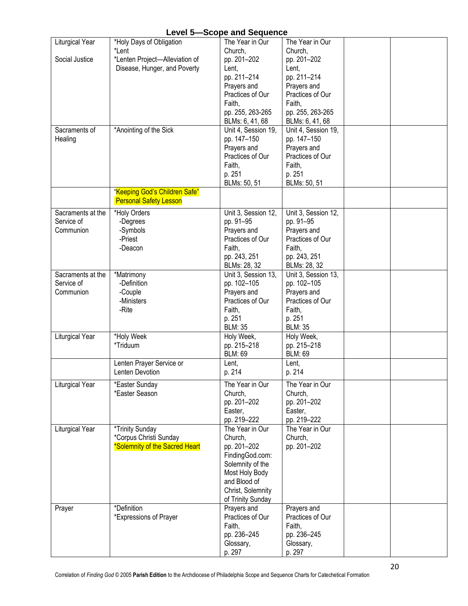|                   |                                                                | ro ana ooqaono      |                     |  |
|-------------------|----------------------------------------------------------------|---------------------|---------------------|--|
| Liturgical Year   | *Holy Days of Obligation                                       | The Year in Our     | The Year in Our     |  |
|                   | *Lent                                                          | Church,             | Church,             |  |
| Social Justice    | *Lenten Project-Alleviation of                                 | pp. 201-202         | pp. 201-202         |  |
|                   | Disease, Hunger, and Poverty                                   | Lent,               | Lent,               |  |
|                   |                                                                | pp. 211-214         | pp. 211-214         |  |
|                   |                                                                | Prayers and         | Prayers and         |  |
|                   |                                                                | Practices of Our    | Practices of Our    |  |
|                   |                                                                | Faith,              | Faith,              |  |
|                   |                                                                | pp. 255, 263-265    | pp. 255, 263-265    |  |
|                   |                                                                | BLMs: 6, 41, 68     | BLMs: 6, 41, 68     |  |
| Sacraments of     | *Anointing of the Sick                                         | Unit 4, Session 19, | Unit 4, Session 19, |  |
| Healing           |                                                                | pp. 147-150         | pp. 147-150         |  |
|                   |                                                                | Prayers and         | Prayers and         |  |
|                   |                                                                | Practices of Our    | Practices of Our    |  |
|                   |                                                                | Faith,              | Faith,              |  |
|                   |                                                                | p. 251              | p. 251              |  |
|                   |                                                                | BLMs: 50, 51        | BLMs: 50, 51        |  |
|                   | "Keeping God's Children Safe"<br><b>Personal Safety Lesson</b> |                     |                     |  |
| Sacraments at the | *Holy Orders                                                   | Unit 3, Session 12, | Unit 3, Session 12, |  |
| Service of        | -Degrees                                                       | pp. 91-95           | pp. 91-95           |  |
| Communion         | -Symbols                                                       | Prayers and         | Prayers and         |  |
|                   | -Priest                                                        | Practices of Our    | Practices of Our    |  |
|                   | -Deacon                                                        | Faith,              | Faith,              |  |
|                   |                                                                | pp. 243, 251        | pp. 243, 251        |  |
|                   |                                                                | BLMs: 28, 32        | BLMs: 28, 32        |  |
| Sacraments at the | *Matrimony                                                     | Unit 3, Session 13, | Unit 3, Session 13, |  |
| Service of        | -Definition                                                    | pp. 102-105         | pp. 102-105         |  |
| Communion         | -Couple                                                        | Prayers and         | Prayers and         |  |
|                   | -Ministers                                                     | Practices of Our    | Practices of Our    |  |
|                   | -Rite                                                          | Faith,              | Faith,              |  |
|                   |                                                                | p. 251              | p. 251              |  |
|                   |                                                                | <b>BLM: 35</b>      | <b>BLM: 35</b>      |  |
| Liturgical Year   | *Holy Week                                                     | Holy Week,          | Holy Week,          |  |
|                   | *Triduum                                                       | pp. 215-218         | pp. 215-218         |  |
|                   |                                                                | <b>BLM: 69</b>      | <b>BLM: 69</b>      |  |
|                   | Lenten Prayer Service or                                       | Lent,               | Lent,               |  |
|                   | Lenten Devotion                                                | p. 214              | p. 214              |  |
| Liturgical Year   | *Easter Sunday                                                 | The Year in Our     | The Year in Our     |  |
|                   | *Easter Season                                                 | Church,             | Church,             |  |
|                   |                                                                | pp. 201-202         | pp. 201-202         |  |
|                   |                                                                | Easter,             | Easter,             |  |
|                   |                                                                | pp. 219-222         | pp. 219-222         |  |
| Liturgical Year   | *Trinity Sunday                                                | The Year in Our     | The Year in Our     |  |
|                   | *Corpus Christi Sunday                                         | Church,             | Church,             |  |
|                   | *Solemnity of the Sacred Heart                                 | pp. 201-202         | pp. 201-202         |  |
|                   |                                                                | FindingGod.com:     |                     |  |
|                   |                                                                | Solemnity of the    |                     |  |
|                   |                                                                | Most Holy Body      |                     |  |
|                   |                                                                | and Blood of        |                     |  |
|                   |                                                                | Christ, Solemnity   |                     |  |
|                   |                                                                | of Trinity Sunday   |                     |  |
| Prayer            | *Definition                                                    | Prayers and         | Prayers and         |  |
|                   | *Expressions of Prayer                                         | Practices of Our    | Practices of Our    |  |
|                   |                                                                | Faith,              | Faith,              |  |
|                   |                                                                | pp. 236-245         | pp. 236-245         |  |
|                   |                                                                | Glossary,           | Glossary,           |  |
|                   |                                                                | p. 297              | p. 297              |  |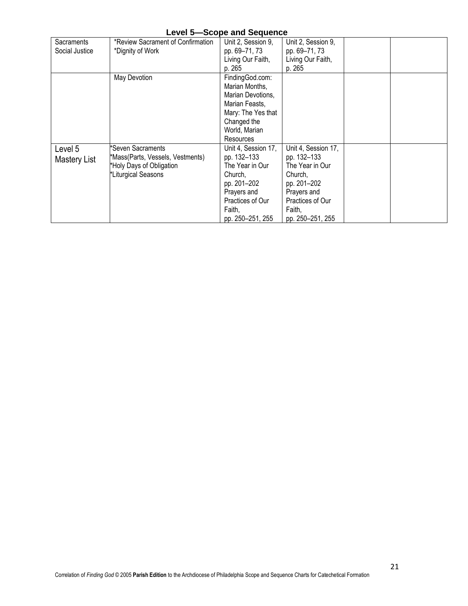| Sacraments     | *Review Sacrament of Confirmation | Unit 2, Session 9,  | Unit 2, Session 9,  |  |
|----------------|-----------------------------------|---------------------|---------------------|--|
| Social Justice | *Dignity of Work                  | pp. 69-71, 73       | pp. 69-71, 73       |  |
|                |                                   | Living Our Faith,   | Living Our Faith,   |  |
|                |                                   | p. 265              | p. 265              |  |
|                | May Devotion                      | FindingGod.com:     |                     |  |
|                |                                   | Marian Months,      |                     |  |
|                |                                   | Marian Devotions,   |                     |  |
|                |                                   | Marian Feasts,      |                     |  |
|                |                                   | Mary: The Yes that  |                     |  |
|                |                                   | Changed the         |                     |  |
|                |                                   | World, Marian       |                     |  |
|                |                                   | <b>Resources</b>    |                     |  |
| Level 5        | 'Seven Sacraments                 | Unit 4, Session 17, | Unit 4, Session 17, |  |
| Mastery List   | 'Mass(Parts, Vessels, Vestments)  | pp. 132–133         | pp. 132-133         |  |
|                | Holy Days of Obligation           | The Year in Our     | The Year in Our     |  |
|                | *Liturgical Seasons               | Church,             | Church.             |  |
|                |                                   | pp. 201-202         | pp. 201-202         |  |
|                |                                   | Prayers and         | Prayers and         |  |
|                |                                   | Practices of Our    | Practices of Our    |  |
|                |                                   | Faith,              | Faith,              |  |
|                |                                   | pp. 250-251, 255    | pp. 250-251, 255    |  |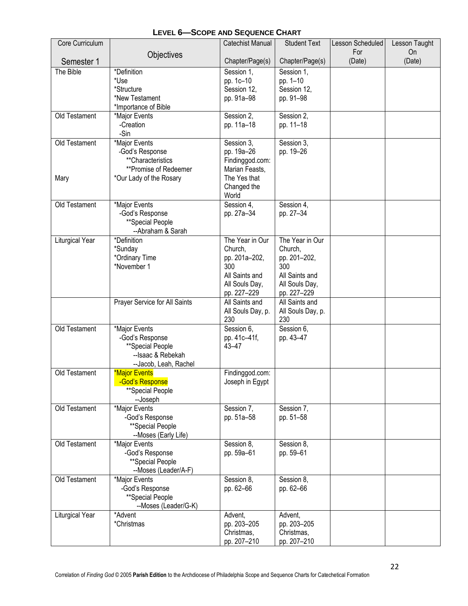| Core Curriculum |                                       | <b>Catechist Manual</b> | <b>Student Text</b> | Lesson Scheduled | Lesson Taught |
|-----------------|---------------------------------------|-------------------------|---------------------|------------------|---------------|
|                 | Objectives                            |                         |                     | For              | On            |
| Semester 1      |                                       | Chapter/Page(s)         | Chapter/Page(s)     | (Date)           | (Date)        |
| The Bible       | *Definition                           | Session 1,              | Session 1,          |                  |               |
|                 | *Use                                  | pp. 1c-10               | pp. 1-10            |                  |               |
|                 | *Structure<br>*New Testament          | Session 12,             | Session 12,         |                  |               |
|                 | *Importance of Bible                  | pp. 91a-98              | pp. 91-98           |                  |               |
| Old Testament   | *Major Events                         | Session 2,              | Session 2,          |                  |               |
|                 | -Creation                             | pp. 11a-18              | pp. 11-18           |                  |               |
|                 | -Sin                                  |                         |                     |                  |               |
| Old Testament   | *Major Events                         | Session 3,              | Session 3,          |                  |               |
|                 | -God's Response                       | pp. 19a-26              | pp. 19-26           |                  |               |
|                 | **Characteristics                     | Findinggod.com:         |                     |                  |               |
|                 | **Promise of Redeemer                 | Marian Feasts,          |                     |                  |               |
| Mary            | *Our Lady of the Rosary               | The Yes that            |                     |                  |               |
|                 |                                       | Changed the<br>World    |                     |                  |               |
| Old Testament   | *Major Events                         | Session 4,              | Session 4,          |                  |               |
|                 | -God's Response                       | pp. 27a-34              | pp. 27-34           |                  |               |
|                 | **Special People                      |                         |                     |                  |               |
|                 | --Abraham & Sarah                     |                         |                     |                  |               |
| Liturgical Year | *Definition                           | The Year in Our         | The Year in Our     |                  |               |
|                 | *Sunday                               | Church,                 | Church,             |                  |               |
|                 | *Ordinary Time<br>*November 1         | pp. 201a-202,<br>300    | pp. 201-202,<br>300 |                  |               |
|                 |                                       | All Saints and          | All Saints and      |                  |               |
|                 |                                       | All Souls Day,          | All Souls Day,      |                  |               |
|                 |                                       | pp. 227-229             | pp. 227-229         |                  |               |
|                 | Prayer Service for All Saints         | All Saints and          | All Saints and      |                  |               |
|                 |                                       | All Souls Day, p.       | All Souls Day, p.   |                  |               |
|                 |                                       | 230                     | 230                 |                  |               |
| Old Testament   | *Major Events                         | Session 6,              | Session 6,          |                  |               |
|                 | -God's Response                       | pp. 41c-41f,<br>43-47   | pp. 43-47           |                  |               |
|                 | **Special People<br>--Isaac & Rebekah |                         |                     |                  |               |
|                 | --Jacob, Leah, Rachel                 |                         |                     |                  |               |
| Old Testament   | <b>*Major Events</b>                  | Findinggod.com:         |                     |                  |               |
|                 | -God's Response                       | Joseph in Egypt         |                     |                  |               |
|                 | **Special People                      |                         |                     |                  |               |
|                 | --Joseph                              |                         |                     |                  |               |
| Old Testament   | *Major Events                         | Session 7,              | Session 7,          |                  |               |
|                 | -God's Response<br>**Special People   | pp. 51a-58              | pp. 51-58           |                  |               |
|                 | --Moses (Early Life)                  |                         |                     |                  |               |
| Old Testament   | *Major Events                         | Session 8,              | Session 8,          |                  |               |
|                 | -God's Response                       | pp. 59a-61              | pp. 59-61           |                  |               |
|                 | **Special People                      |                         |                     |                  |               |
|                 | --Moses (Leader/A-F)                  |                         |                     |                  |               |
| Old Testament   | *Major Events                         | Session 8,              | Session 8,          |                  |               |
|                 | -God's Response                       | pp. 62-66               | pp. 62-66           |                  |               |
|                 | **Special People                      |                         |                     |                  |               |
| Liturgical Year | --Moses (Leader/G-K)<br>*Advent       | Advent,                 | Advent,             |                  |               |
|                 | *Christmas                            | pp. 203-205             | pp. 203-205         |                  |               |
|                 |                                       | Christmas,              | Christmas,          |                  |               |
|                 |                                       | pp. 207-210             | pp. 207-210         |                  |               |

# **LEVEL 6—SCOPE AND SEQUENCE CHART**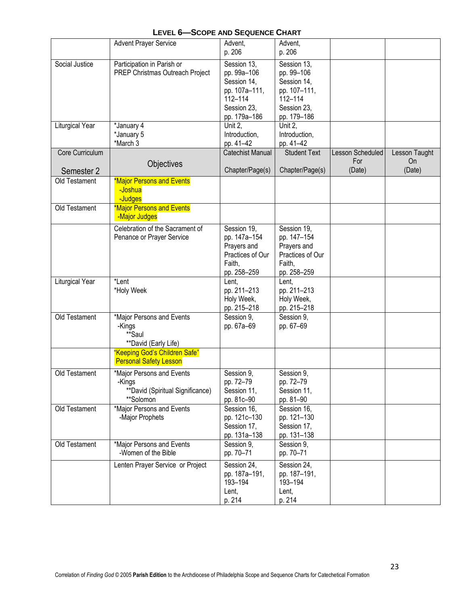|                             | <b>Advent Prayer Service</b>                                                                                                            | Advent,<br>p. 206                                                                                    | Advent,<br>p. 206                                                                                 |                                |                     |
|-----------------------------|-----------------------------------------------------------------------------------------------------------------------------------------|------------------------------------------------------------------------------------------------------|---------------------------------------------------------------------------------------------------|--------------------------------|---------------------|
| Social Justice              | Participation in Parish or<br>PREP Christmas Outreach Project                                                                           | Session 13,<br>pp. 99a-106<br>Session 14,<br>pp. 107a-111,<br>112-114<br>Session 23,<br>pp. 179a-186 | Session 13,<br>pp. 99-106<br>Session 14,<br>pp. 107-111,<br>112-114<br>Session 23,<br>pp. 179-186 |                                |                     |
| <b>Liturgical Year</b>      | *January 4<br>*January 5<br>*March 3                                                                                                    | Unit $2.$<br>Introduction,<br>pp. 41-42                                                              | Unit 2.<br>Introduction,<br>pp. 41-42                                                             |                                |                     |
| Core Curriculum             | Objectives                                                                                                                              | <b>Catechist Manual</b>                                                                              | <b>Student Text</b>                                                                               | <b>Lesson Scheduled</b><br>For | Lesson Taught<br>On |
| Semester 2<br>Old Testament | <b>*Major Persons and Events</b><br>-Joshua<br>-Judges                                                                                  | Chapter/Page(s)                                                                                      | Chapter/Page(s)                                                                                   | (Date)                         | (Date)              |
| Old Testament               | *Major Persons and Events<br>-Major Judges                                                                                              |                                                                                                      |                                                                                                   |                                |                     |
|                             | Celebration of the Sacrament of<br>Penance or Prayer Service                                                                            | Session 19,<br>pp. 147a-154<br>Prayers and<br>Practices of Our<br>Faith,<br>pp. 258-259              | Session 19,<br>pp. 147-154<br>Prayers and<br>Practices of Our<br>Faith,<br>pp. 258-259            |                                |                     |
| Liturgical Year             | *Lent<br>*Holy Week                                                                                                                     | Lent,<br>pp. 211-213<br>Holy Week,<br>pp. 215-218                                                    | Lent,<br>pp. 211-213<br>Holy Week,<br>pp. 215-218                                                 |                                |                     |
| Old Testament               | *Major Persons and Events<br>-Kings<br>**Saul<br>**David (Early Life)<br>"Keeping God's Children Safe"<br><b>Personal Safety Lesson</b> | Session 9,<br>pp. 67a-69                                                                             | Session 9,<br>pp. 67-69                                                                           |                                |                     |
| Old Testament               | *Major Persons and Events<br>-Kings<br>**David (Spiritual Significance)<br>**Solomon                                                    | Session 9,<br>pp. 72-79<br>Session 11,<br>pp. 81c-90                                                 | Session 9,<br>pp. 72–79<br>Session 11,<br>pp. 81-90                                               |                                |                     |
| Old Testament               | *Major Persons and Events<br>-Major Prophets                                                                                            | Session 16,<br>pp. 121c-130<br>Session 17,<br>pp. 131a-138                                           | Session 16,<br>pp. 121-130<br>Session 17,<br>pp. 131-138                                          |                                |                     |
| Old Testament               | *Major Persons and Events<br>-Women of the Bible                                                                                        | Session 9,<br>pp. 70-71                                                                              | Session 9,<br>pp. 70-71                                                                           |                                |                     |
|                             | Lenten Prayer Service or Project                                                                                                        | Session 24,<br>pp. 187a-191,<br>193-194<br>Lent,<br>p. 214                                           | Session 24,<br>pp. 187-191,<br>193-194<br>Lent,<br>p. 214                                         |                                |                     |

# **LEVEL 6—SCOPE AND SEQUENCE CHART**